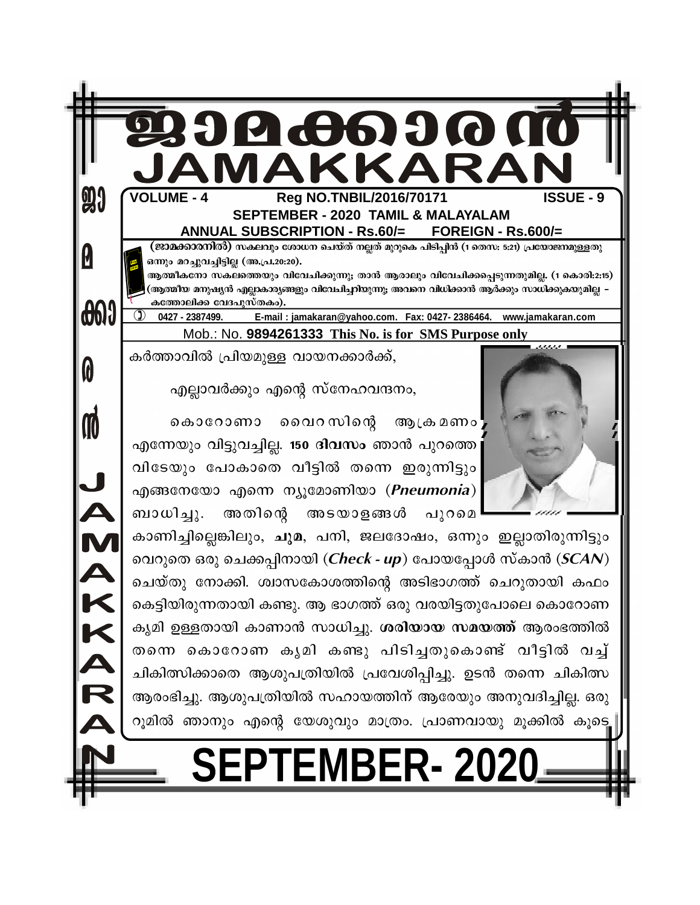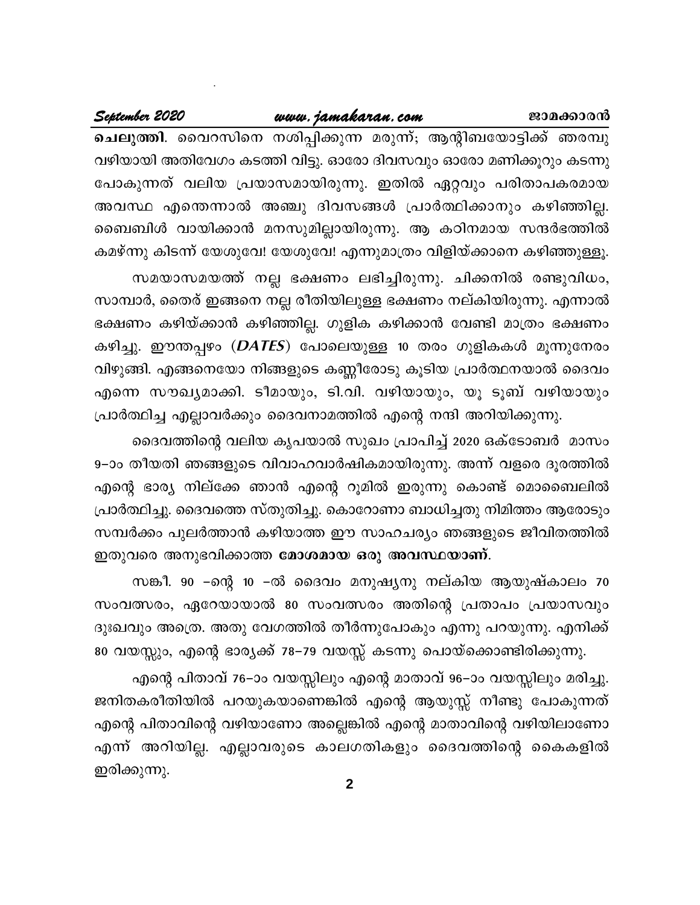## www.jamakaran.com

#### September 2020

ചെലുത്തി. വൈറസിനെ നശിപ്പിക്കുന്ന മരുന്ന്; ആന്റിബയോട്ടിക്ക് ഞരമ്പു വഴിയായി അതിവേഗം കടത്തി വിട്ടു. ഓരോ ദിവസവും ഓരോ മണിക്കൂറും കടന്നു പോകുന്നത് വലിയ പ്രയാസമായിരുന്നു. ഇതിൽ ഏറ്റവും പരിതാപകരമായ അവസ്ഥ എന്തെന്നാൽ അഞ്ചു ദിവസങ്ങൾ പ്രാർത്ഥിക്കാനും കഴിഞ്ഞില്ല. ബൈബിൾ വായിക്കാൻ മനസുമില്ലായിരുന്നു. ആ കഠിനമായ സന്ദർഭത്തിൽ കമഴ്ന്നു കിടന്ന് യേശുവേ! യേശുവേ! എന്നുമാത്രം വിളിയ്ക്കാനെ കഴിഞ്ഞുള്ളൂ.

സമയാസമയത്ത് നല്ല ഭക്ഷണം ലഭിച്ചിരുന്നു. ചിക്കനിൽ രണ്ടുവിധം, സാമ്പാർ, തൈര് ഇങ്ങനെ നല്ല രീതിയിലുള്ള ഭക്ഷണം നല്കിയിരുന്നു. എന്നാൽ ഭക്ഷണം കഴിയ്ക്കാൻ കഴിഞ്ഞില്ല. ഗുളിക കഴിക്കാൻ വേണ്ടി മാത്രം ഭക്ഷണം കഴിച്ചു. ഈന്തപ്പഴം (*DATES*) പോലെയുള്ള 10 തരം ഗുളികകൾ മൂന്നുനേരം വിഴുങ്ങി. എങ്ങനെയോ നിങ്ങളുടെ കണ്ണീരോടു കൂടിയ പ്രാർത്ഥനയാൽ ദൈവം എന്നെ സൗഖ്യമാക്കി. ടീമായും, ടി.വി. വഴിയായും, യൂ ടൂബ് വഴിയായും പ്രാർത്ഥിച്ച എല്ലാവർക്കും ദൈവനാമത്തിൽ എന്റെ നന്ദി അറിയിക്കുന്നു.

ദൈവത്തിന്റെ വലിയ കൃപയാൽ സുഖം പ്രാപിച്ച് 2020 ഒക്ടോബർ മാസം 9–ാം തീയതി ഞങ്ങളുടെ വിവാഹവാർഷികമായിരുന്നു. അന്ന് വളരെ ദൂരത്തിൽ എന്റെ ഭാര്യ നില്ക്കേ ഞാൻ എന്റെ റൂമിൽ ഇരുന്നു കൊണ്ട് മൊബൈലിൽ പ്രാർത്ഥിച്ചു. ദൈവത്തെ സ്തുതിച്ചു. കൊറോണാ ബാധിച്ചതു നിമിത്തം ആരോടും സമ്പർക്കം പുലർത്താൻ കഴിയാത്ത ഈ സാഹചര്യം ഞങ്ങളുടെ ജീവിതത്തിൽ ഇതുവരെ അനുഭവിക്കാത്ത മോശമായ ഒരു അവസ്ഥയാണ്.

സങ്കീ. 90 –ന്റെ 10 –ൽ ദൈവം മനുഷ്യനു നല്കിയ ആയുഷ്കാലം 70 സംവത്സരം, ഏറേയായാൽ 80 സംവത്സരം അതിന്റെ പ്രതാപം പ്രയാസവും ദുഃഖവും അത്രെ. അതു വേഗത്തിൽ തീർന്നുപോകും എന്നു പറയുന്നു. എനിക്ക് 80 വയസ്സും, എന്റെ ഭാര്യക്ക് 78–79 വയസ്സ് കടന്നു പൊയ്ക്കൊണ്ടിരിക്കുന്നു.

എന്റെ പിതാവ് 76–ാം വയസ്സിലും എന്റെ മാതാവ് 96–ാം വയസ്സിലും മരിച്ചു. ജനിതകരീതിയിൽ പറയുകയാണെങ്കിൽ എന്റെ ആയുസ്സ് നീണ്ടു പോകുന്നത് എന്റെ പിതാവിന്റെ വഴിയാണോ അല്ലെങ്കിൽ എന്റെ മാതാവിന്റെ വഴിയിലാണോ എന്ന് അറിയില്ല. എല്ലാവരുടെ കാലഗതികളും ദൈവത്തിന്റെ കൈകളിൽ ഇരിക്കുന്നു.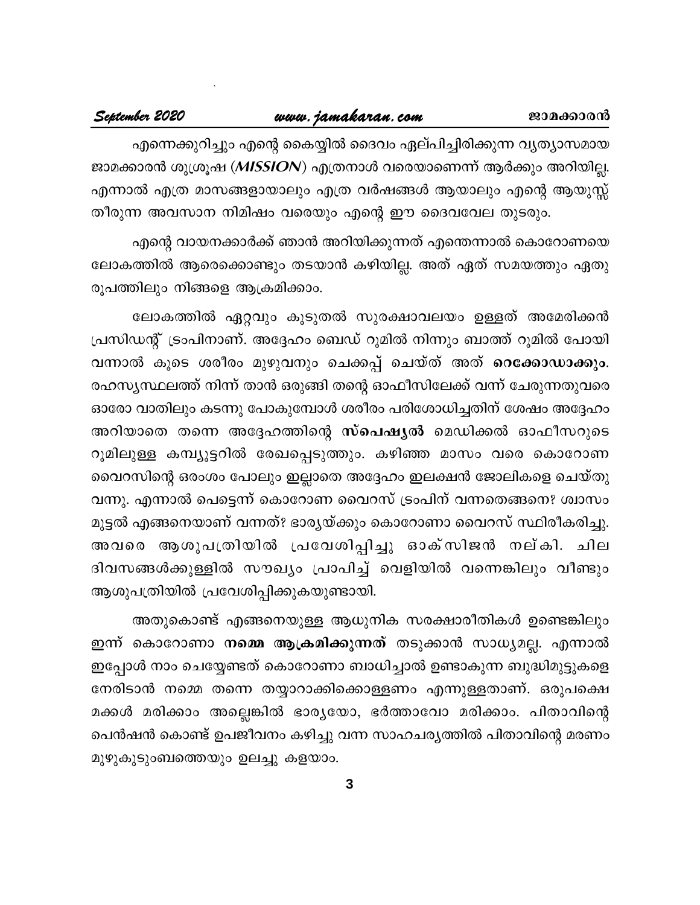## www.jamakaran.com

#### September 2020

എന്നെക്കുറിച്ചും എന്റെ കൈയ്യിൽ ദൈവം ഏല്പിച്ചിരിക്കുന്ന വ്യത്യാസമായ ജാമക്കാരൻ ശുശ്രൂഷ (MISSION) എത്രനാൾ വരെയാണെന്ന് ആർക്കും അറിയില്ല. എന്നാൽ എത്ര മാസങ്ങളായാലും എത്ര വർഷങ്ങൾ ആയാലും എന്റെ ആയുസ്സ് തീരുന്ന അവസാന നിമിഷം വരെയും എന്റെ ഈ ദൈവവേല തുടരും.

എന്റെ വായനക്കാർക്ക് ഞാൻ അറിയിക്കുന്നത് എന്തെന്നാൽ കൊറോണയെ ലോകത്തിൽ ആരെക്കൊണ്ടും തടയാൻ കഴിയില്ല. അത് ഏത് സമയത്തും ഏതു രൂപത്തിലും നിങ്ങളെ ആക്രമിക്കാം.

ലോകത്തിൽ ഏറ്റവും കൂടുതൽ സുരക്ഷാവലയം ഉള്ളത് അമേരിക്കൻ പ്രസിഡന്റ് ട്രംപിനാണ്. അദ്ദേഹം ബെഡ് റൂമിൽ നിന്നും ബാത്ത് റൂമിൽ പോയി വന്നാൽ കൂടെ ശരീരം മുഴുവനും ചെക്കപ്പ് ചെയ്ത് അത് റെക്കോഡാക്കും. രഹസൃസ്ഥലത്ത് നിന്ന് താൻ ഒരുങ്ങി തന്റെ ഓഫീസിലേക്ക് വന്ന് ചേരുന്നതുവരെ ഓരോ വാതിലും കടന്നു പോകുമ്പോൾ ശരീരം പരിശോധിച്ചതിന് ശേഷം അദ്ദേഹം അറിയാതെ തന്നെ അദ്ദേഹത്തിന്റെ സ്പെഷ്യൽ മെഡിക്കൽ ഓഫീസറുടെ റൂമിലുള്ള കമ്പ്യൂട്ടറിൽ രേഖപ്പെടുത്തും. കഴിഞ്ഞ മാസം വരെ കൊറോണ വൈറസിന്റെ ഒരംശം പോലും ഇല്ലാതെ അദ്ദേഹം ഇലക്ഷൻ ജോലികളെ ചെയ്തു വന്നു. എന്നാൽ പെട്ടെന്ന് കൊറോണ വൈറസ് ട്രംപിന് വന്നതെങ്ങനെ? ശ്വാസം മുട്ടൽ എങ്ങനെയാണ് വന്നത്? ഭാര്യയ്ക്കും കൊറോണാ വൈറസ് സ്ഥിരീകരിച്ചു. അവരെ ആശുപത്രിയിൽ പ്രവേശിപ്പിച്ചു ഓക്സിജൻ നല്കി. ചില ദിവസങ്ങൾക്കുള്ളിൽ സൗഖ്യം പ്രാപിച്ച് വെളിയിൽ വന്നെങ്കിലും വീണ്ടും ആശുപത്രിയിൽ പ്രവേശിപ്പിക്കുകയുണ്ടായി.

അതുകൊണ്ട് എങ്ങനെയുള്ള ആധുനിക സരക്ഷാരീതികൾ ഉണ്ടെങ്കിലും ഇന്ന് കൊറോണാ **നമ്മെ ആക്രമിക്കുന്നത്** തടുക്കാൻ സാധ്യമല്ല. എന്നാൽ ഇപ്പോൾ നാം ചെയ്യേണ്ടത് കൊറോണാ ബാധിച്ചാൽ ഉണ്ടാകുന്ന ബുദ്ധിമുട്ടുകളെ നേരിടാൻ നമ്മെ തന്നെ തയ്യാറാക്കിക്കൊള്ളണം എന്നുള്ളതാണ്. ഒരുപക്ഷെ മക്കൾ മരിക്കാം അല്ലെങ്കിൽ ഭാര്യയോ, ഭർത്താവോ മരിക്കാം. പിതാവിന്റെ പെൻഷൻ കൊണ്ട് ഉപജീവനം കഴിച്ചു വന്ന സാഹചര്യത്തിൽ പിതാവിന്റെ മരണം മുഴുകുടുംബത്തെയും ഉലച്ചു കളയാം.

 $\mathbf{3}$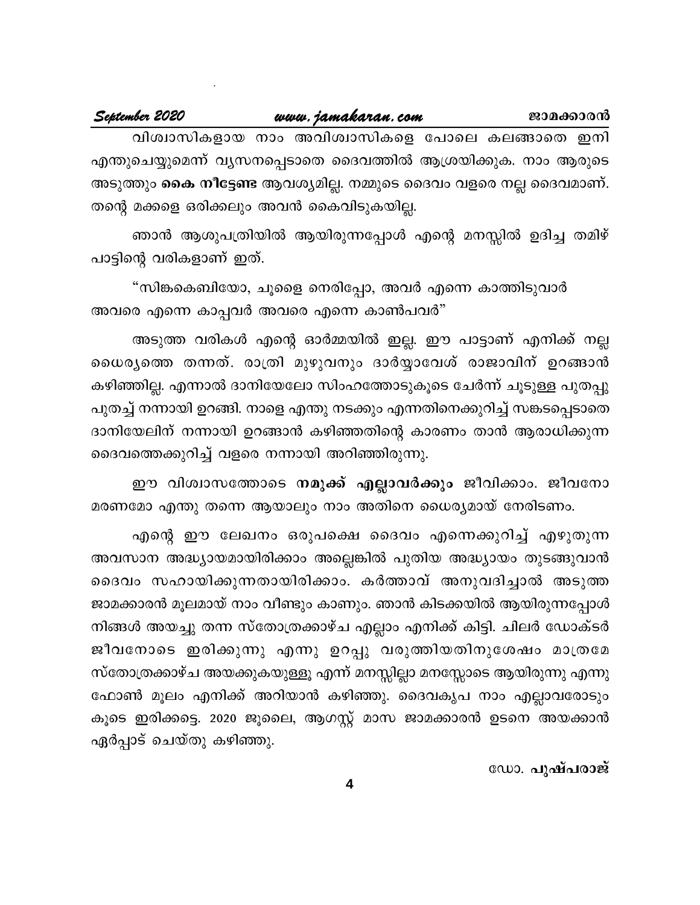#### September 2020

വിശ്വാസികളായ നാം അവിശ്വാസികളെ പോലെ കലങ്ങാതെ ഇനി എന്തുചെയ്യുമെന്ന് വൃസനപ്പെടാതെ ദൈവത്തിൽ ആശ്രയിക്കുക. നാം ആരുടെ അടുത്തും **കൈ നീട്ടേണ്ട** ആവശ്യമില്ല. നമ്മുടെ ദൈവം വളരെ നല്ല ദൈവമാണ്. തന്റെ മക്കളെ ഒരിക്കലും അവൻ കൈവിടുകയില്ല.

ഞാൻ ആശുപത്രിയിൽ ആയിരുന്നപ്പോൾ എന്റെ മനസ്സിൽ ഉദിച്ച തമിഴ് പാട്ടിന്റെ വരികളാണ് ഇത്.

"സിങ്കകെബിയോ, ചൂളൈ നെരിപ്പോ, അവർ എന്നെ കാത്തിടുവാർ അവരെ എന്നെ കാപ്പവർ അവരെ എന്നെ കാൺപവർ"

അടുത്ത വരികൾ എന്റെ ഓർമ്മയിൽ ഇല്ല. ഈ പാട്ടാണ് എനിക്ക് നല്ല ധൈര്യത്തെ തന്നത്. രാത്രി മുഴുവനും ദാർയ്യാവേശ് രാജാവിന് ഉറങ്ങാൻ കഴിഞ്ഞില്ല. എന്നാൽ ദാനിയേലോ സിംഹത്തോടുകൂടെ ചേർന്ന് ചൂടുള്ള പുതപ്പു പുതച്ച് നന്നായി ഉറങ്ങി. നാളെ എന്തു നടക്കും എന്നതിനെക്കുറിച്ച് സങ്കടപ്പെടാതെ ദാനിയേലിന് നന്നായി ഉറങ്ങാൻ കഴിഞ്ഞതിന്റെ കാരണം താൻ ആരാധിക്കുന്ന ദൈവത്തെക്കുറിച്ച് വളരെ നന്നായി അറിഞ്ഞിരുന്നു.

ഈ വിശ്വാസത്തോടെ **നമുക്ക് എല്ലാവർക്കും** ജീവിക്കാം. ജീവനോ മരണമോ എന്തു തന്നെ ആയാലും നാം അതിനെ ധൈര്യമായ് നേരിടണം.

എന്റെ ഈ ലേഖനം ഒരുപക്ഷെ ദൈവം എന്നെക്കുറിച്ച് എഴുതുന്ന അവസാന അദ്ധ്യായമായിരിക്കാം അല്ലെങ്കിൽ പുതിയ അദ്ധ്യായം തുടങ്ങുവാൻ ദൈവം സഹായിക്കുന്നതായിരിക്കാം. കർത്താവ് അനുവദിച്ചാൽ അടുത്ത ജാമക്കാരൻ മൂലമായ് നാം വീണ്ടും കാണും. ഞാൻ കിടക്കയിൽ ആയിരുന്നപ്പോൾ നിങ്ങൾ അയച്ചു തന്ന സ്തോത്രക്കാഴ്ച എല്ലാം എനിക്ക് കിട്ടി. ചിലർ ഡോക്ടർ ജീവനോടെ ഇരിക്കുന്നു എന്നു ഉറപ്പു വരുത്തിയതിനുശേഷം മാത്രമേ സ്തോത്രക്കാഴ്ച അയക്കുകയുള്ളൂ എന്ന് മനസ്സില്ലാ മനസ്സോടെ ആയിരുന്നു എന്നു ഫോൺ മൂലം എനിക്ക് അറിയാൻ കഴിഞ്ഞു. ദൈവകൃപ നാം എല്ലാവരോടും കൂടെ ഇരിക്കട്ടെ. 2020 ജൂലൈ, ആഗസ്റ്റ് മാസ ജാമക്കാരൻ ഉടനെ അയക്കാൻ ഏർപ്പാട് ചെയ്തു കഴിഞ്ഞു.

ഡോ. പുഷ്പരാജ്

 $\overline{\mathbf{4}}$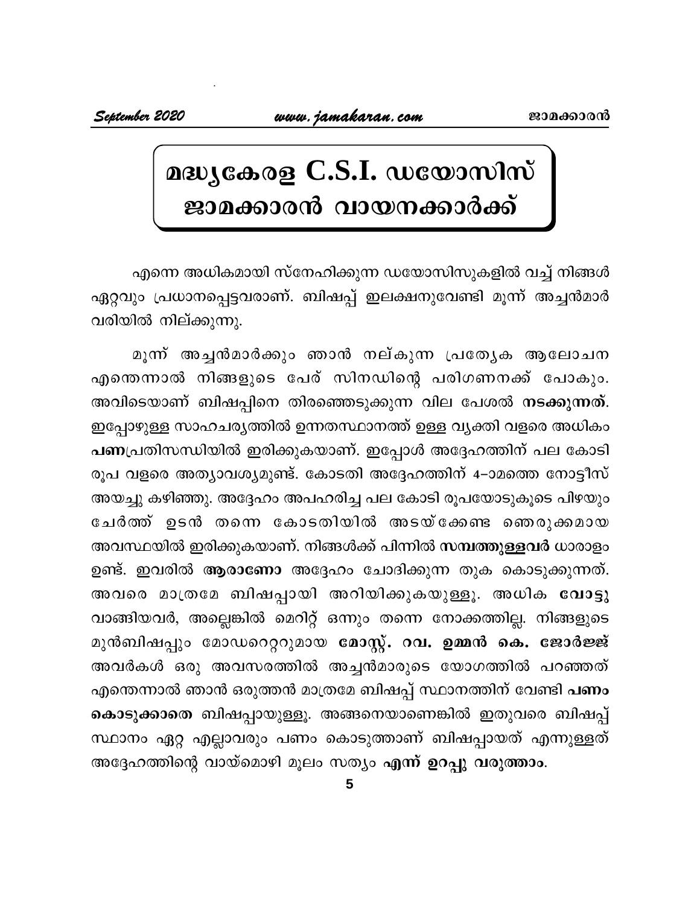# മദ്ധ്യകേരള C.S.I. ഡയോസിസ്<br>ജാമക്കാരൻ വായനക്കാർക്ക്

എന്നെ അധികമായി സ്നേഹിക്കുന്ന ഡയോസിസുകളിൽ വച്ച് നിങ്ങൾ ഏറ്റവും പ്രധാനപ്പെട്ടവരാണ്. ബിഷപ്പ് ഇലക്ഷനുവേണ്ടി മൂന്ന് അച്ചൻമാർ വരിയിൽ നില്ക്കുന്നു.

മൂന്ന് അച്ചൻമാർക്കും ഞാൻ നല്കുന്ന പ്രത്യേക ആലോചന എന്തെന്നാൽ നിങ്ങളുടെ പേര് സിനഡിന്റെ പരിഗണനക്ക് പോകും. അവിടെയാണ് ബിഷപ്പിനെ തിരഞ്ഞെടുക്കുന്ന വില പേശൽ <mark>നടക്കുന്നത്</mark>. ഇപ്പോഴുള്ള സാഹചര്യത്തിൽ ഉന്നതസ്ഥാനത്ത് ഉള്ള വ്യക്തി വളരെ അധികം പണപ്രതിസന്ധിയിൽ ഇരിക്കുകയാണ്. ഇപ്പോൾ അദ്ദേഹത്തിന് പല കോടി രൂപ വളരെ അത്യാവശ്യമുണ്ട്. കോടതി അദ്ദേഹത്തിന് 4–ാമത്തെ നോട്ടീസ് അയച്ചു കഴിഞ്ഞു. അദ്ദേഹം അപഹരിച്ച പല കോടി രൂപയോടുകൂടെ പിഴയും ചേർത്ത് ഉടൻ തന്നെ കോടതിയിൽ അടയ്ക്കേണ്ട ഞെരുക്കമായ അവസ്ഥയിൽ ഇരിക്കുകയാണ്. നിങ്ങൾക്ക് പിന്നിൽ <mark>സമ്പത്തുള്ളവർ</mark> ധാരാളം ഉണ്ട്. ഇവരിൽ ആരാണോ അദ്ദേഹം ചോദിക്കുന്ന തുക കൊടുക്കുന്നത്. അവരെ മാത്രമേ ബിഷപ്പായി അറിയിക്കുകയുള്ളൂ. അധിക <mark>വോട്ട</mark>ു വാങ്ങിയവർ, അല്ലെങ്കിൽ മെറിറ്റ് ഒന്നും തന്നെ നോക്കത്തില്ല. നിങ്ങളുടെ മുൻബിഷപ്പും മോഡറെറ്ററുമായ <mark>മോസ്റ്റ്. റവ. ഉമ്മൻ കെ. ജോർജ്ജ്</mark> അവർകൾ ഒരു അവസരത്തിൽ അച്ചൻമാരുടെ യോഗത്തിൽ പറഞ്ഞത് എന്തെന്നാൽ ഞാൻ ഒരുത്തൻ മാത്രമേ ബിഷപ്പ് സ്ഥാനത്തിന് വേണ്ടി <mark>പണം</mark> കൊടുക്കാതെ ബിഷപ്പായുള്ളൂ. അങ്ങനെയാണെങ്കിൽ ഇതുവരെ ബിഷപ്പ് സ്ഥാനം ഏറ്റ എല്ലാവരും പണം കൊടുത്താണ് ബിഷപ്പായത് എന്നുള്ളത് അദ്ദേഹത്തിന്റെ വായ്മൊഴി മൂലം സത്യം എന്ന് ഉറപ്പു വരുത്താം.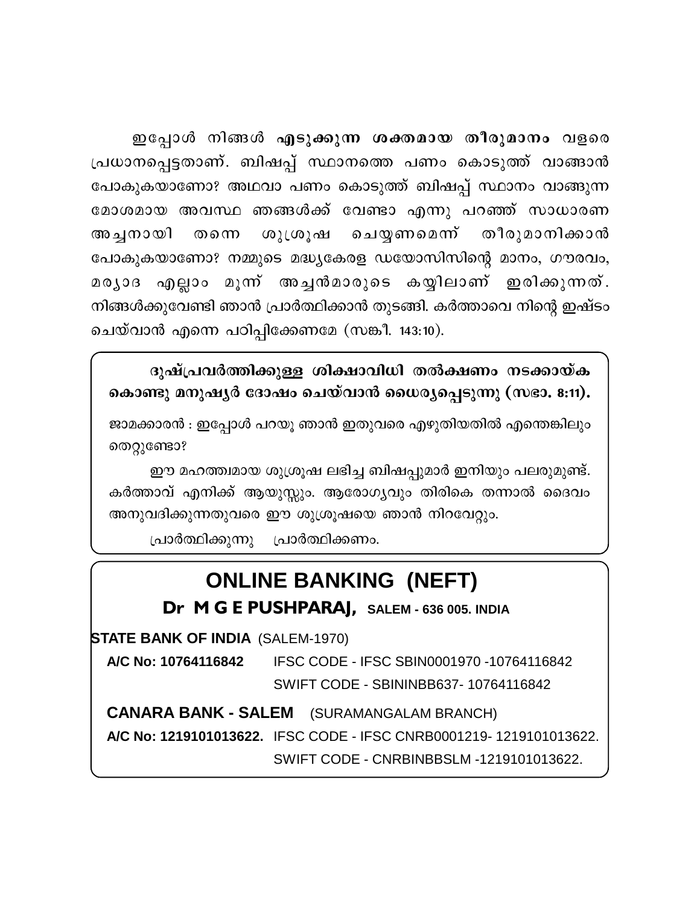ഇപ്പോൾ നിങ്ങൾ എടുക്കുന്ന ശക്തമായ തീരുമാനം വളരെ ഇപ്പോൾ നിങ്ങൾ എടു<mark>ക്കുന്ന ശക്തമായ തീരുമാനം</mark> വളരെ<br>പ്രധാനപ്പെട്ടതാണ്. ബിഷപ്പ് സ്ഥാനത്തെ പണം കൊടുത്ത് വാങ്ങാൻ<br>പോകുകയാണോ? അഥവാ പണം കൊടുത്ത് ബിഷപ്പ് സ്ഥാനം വാങ്ങുന്ന<br>മോശമായ അവസ്ഥ ഞങ്ങൾക്ക് വേണ്ടാ എന്നു പറഞ്ഞ് സാധാരണ പോകുകയാണോ? അഥവാ പണം കൊടുത്ത് ബിഷപ്പ് സ്ഥാനം വാങ്ങുന്ന ഇപ്പോൾ നിങ്ങൾ എടു<mark>ക്കുന്ന ശക്തമായ തീരുമാനം</mark> വളരെ<br>പ്രധാനപ്പെട്ടതാണ്. ബിഷപ്പ് സ്ഥാനത്തെ പണം കൊടുത്ത് വാങ്ങാൻ<br>പോകുകയാണോ? അഥവാ പണം കൊടുത്ത് ബിഷപ്പ് സ്ഥാനം വാങ്ങുന്ന<br>മോശമായ അവസ്ഥ ഞങ്ങൾക്ക് വേണ്ടാ എന്നു പറഞ്ഞ് സാധാരണ<br>അച്ചനായി ത ് ഇപ്പോശ ന്നങ്ങാം എടുക്കുന്ന ക്കെമ്മായ തിരുമാനാ വളരെ<br>പ്രധാനപ്പെട്ടതാണ്. ബിഷപ്പ് സ്ഥാനത്തെ പണം കൊടുത്ത് വാങ്ങാൻ<br>പോകുകയാണോ? അഥവാ പണം കൊടുത്ത് ബിഷപ്പ് സ്ഥാനം വാങ്ങുന്ന<br>മോശമായ അവസ്ഥ ഞങ്ങൾക്ക് വേണ്ടാ എന്നു പറഞ്ഞ് സാധാരണ<br>പോകുകയ പോകുകയാണോ? നമ്മുടെ മദ്ധ്യകേരള ഡയോസിസിന്റെ മാനം, ഗൗരവം, പോകുകയാണോ: അഥവാ വണാ കൊടുത്ത ബഷ്പ്പ സ്ഥാനാ വാങ്ങുന്ന<br>മോശമായ അവസ്ഥ ഞങ്ങൾക്ക് വേണ്ടാ എന്നു പറഞ്ഞ് സാധാരണ<br>അച്ചനായി തന്നെ ശുശ്രൂഷ ചെയ്യണമെന്ന് തീരുമാനിക്കാൻ<br>പോകുകയാണോ? നമ്മുടെ മദ്ധ്യകേരള ഡയോസിസിന്റെ മാനം, ഗൗരവം,<br>മര്യാദ എല്ലാം നിങ്ങൾക്കുവേണ്ടി ഞാൻ പ്രാർത്ഥിക്കാൻ തുടങ്ങി. കർത്താവെ നിന്റെ ഇഷ്ടം ചെയ്വാൻ എന്നെ പഠിപ്പിക്കേണമേ (സങ്കീ. 143:10).

ദുഷ്പ്രവർത്തിക്കുള്ള ശിക്ഷാവിധി തൽക്ഷണം നടക്കായ്ക കൊണ്ടു മനുഷൃർ ദോഷം ചെയ്വാൻ ധൈര്യപ്പെടുന്നു (സഭാ. **8:11)**.

ജാമക്കാരൻ : ഇപ്പോൾ പറയൂ ഞാൻ ഇതുവരെ എഴുതിയതിൽ എന്തെങ്കിലും തെറ്റുണ്ടോ?

ഈ മഹത്ത്വമായ ശുശ്രൂഷ ലഭിച്ച ബിഷപ്പുമാർ ഇനിയും പലരുമുണ്ട്. കർത്താവ് എനിക്ക് ആയുസ്സും. ആരോഗ്യവും തിരികെ തന്നാൽ ദൈവം അനുവദിക്കുന്നതുവരെ ഈ ശുശ്രൂഷയെ ഞാൻ നിറവേറ്റും.

(പാർത്ഥിക്കുന്നു പ്രാർത്ഥിക്കണം.

# **ONLINE BANKING (NEFT)**

**Dr M G E PUSHPARAJ, SALEM - 636 005. INDIA**

**STATE BANK OF INDIA** (SALEM-1970)

**A/C No: 10764116842** IFSC CODE - IFSC SBIN0001970 -10764116842 SWIFT CODE - SBININBB637- 10764116842

**CANARA BANK - SALEM** (SURAMANGALAM BRANCH) **A/C No: 1219101013622.** IFSC CODE - IFSC CNRB0001219- 1219101013622. SWIFT CODE - CNRBINBBSLM -1219101013622.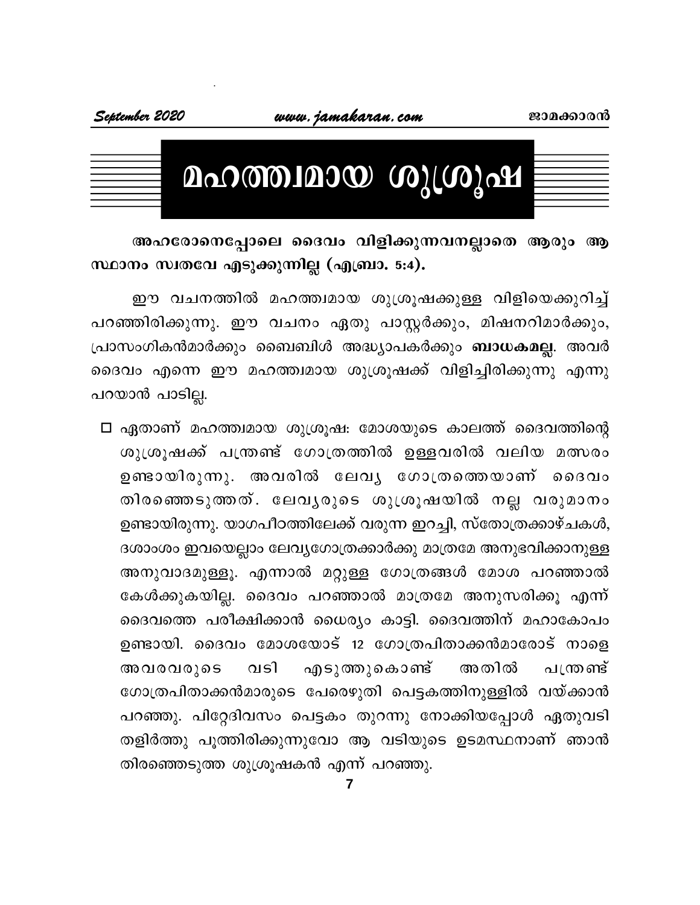

| September 2020 |                    | www.jamakaran.com |  |
|----------------|--------------------|-------------------|--|
|                |                    |                   |  |
|                |                    |                   |  |
|                | മഹത്ത്വമായ ശുശ്രൂഷ |                   |  |
|                |                    |                   |  |

അഹരോനെപ്പോലെ ദൈവം വിളിക്കുന്നവനല്ലാതെ ആരും ആ സ്ഥാനം സ്വതവേ എടുക്കുന്നില്ല (എബ്രാ. 5:4).

ഈ വചനത്തിൽ മഹത്ത്വമായ ശുശ്രൂഷക്കുള്ള വിളിയെക്കുറിച്ച് പറഞ്ഞിരിക്കുന്നു. ഈ വചനം ഏതു പാസ്റ്റർക്കും, മിഷനറിമാർക്കും, പ്രാസംഗികൻമാർക്കും ബൈബിൾ അദ്ധ്യാപകർക്കും **ബാധകമല്ല**. അവർ ദൈവം എന്നെ ഈ മഹത്ത്വമായ ശുശ്രൂഷക്ക് വിളിച്ചിരിക്കുന്നു എന്നു പറയാൻ പാടില്ല.

□ ഏതാണ് മഹത്ത്വമായ ശുശ്രൂഷ: മോശയുടെ കാലത്ത് ദൈവത്തിന്റെ ശുശ്രൂഷക്ക് പന്ത്രണ്ട് ഗോത്രത്തിൽ ഉള്ളവരിൽ വലിയ മത്സരം ഉണ്ടായിരുന്നു. അവരിൽ ലേവൃ ഗോത്രത്തെയാണ് ദൈവം തിരഞ്ഞെടുത്തത്. ലേവൃരുടെ ശുശ്രൂഷയിൽ നല്ല വരുമാനം ഉണ്ടായിരുന്നു. യാഗപീഠത്തിലേക്ക് വരുന്ന ഇറച്ചി, സ്തോത്രക്കാഴ്ചകൾ, ദശാംശം ഇവയെല്ലാം ലേവ്യഗോത്രക്കാർക്കു മാത്രമേ അനുഭവിക്കാനുള്ള അനുവാദമുള്ളൂ. എന്നാൽ മറ്റുള്ള ഗോത്രങ്ങൾ മോശ പറഞ്ഞാൽ കേൾക്കുകയില്ല. ദൈവം പറഞ്ഞാൽ മാത്രമേ അനുസരിക്കൂ എന്ന് ദൈവത്തെ പരീക്ഷിക്കാൻ ധൈര്യം കാട്ടി. ദൈവത്തിന് മഹാകോപം ഉണ്ടായി. ദൈവം മോശയോട് 12 ഗോത്രപിതാക്കൻമാരോട് നാളെ എടുത്തുകൊണ്ട് അവരവരുടെ വടി അതിൽ പത്രണ്ട് ഗോത്രപിതാക്കൻമാരുടെ പേരെഴുതി പെട്ടകത്തിനുള്ളിൽ വയ്ക്കാൻ പറഞ്ഞു. പിറ്റേദിവസം പെട്ടകം തുറന്നു നോക്കിയപ്പോൾ ഏതുവടി തളിർത്തു പൂത്തിരിക്കുന്നുവോ ആ വടിയുടെ ഉടമസ്ഥനാണ് ഞാൻ തിരഞ്ഞെടുത്ത ശുശ്രൂഷകൻ എന്ന് പറഞ്ഞു.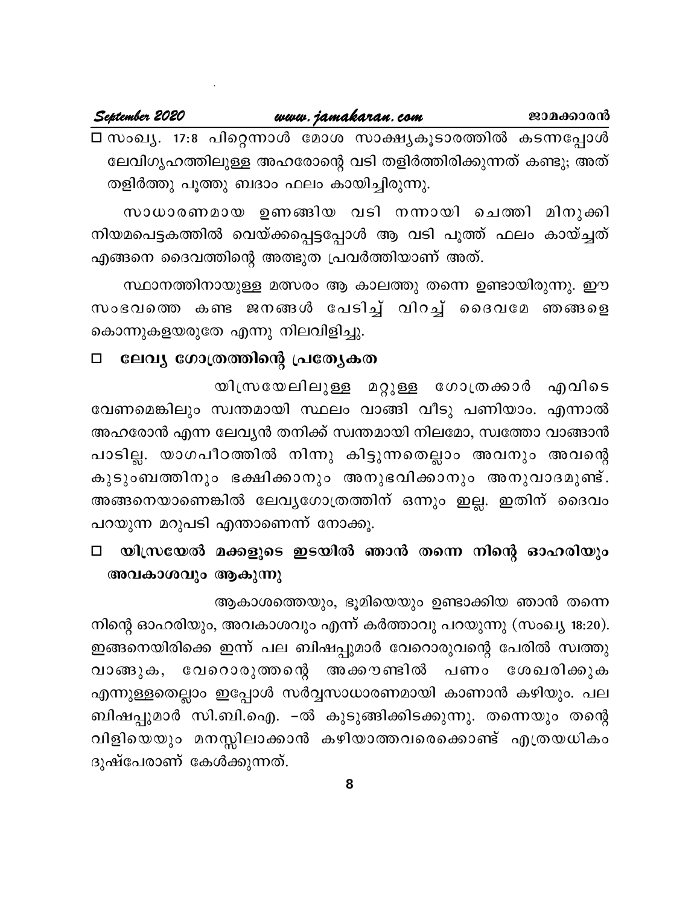#### September 2020

www.jamakaran.com

□ സംഖ്യ. 17:8 പിറ്റെന്നാൾ മോശ സാക്ഷ്യകൂടാരത്തിൽ കടന്നപ്പോൾ ലേവിഗൃഹത്തിലുള്ള അഹരോന്റെ വടി തളിർത്തിരിക്കുന്നത് കണ്ടു; അത് തളിർത്തു പൂത്തു ബദാം ഫലം കായിച്ചിരുന്നു.

സാധാരണമായ ഉണങ്ങിയ വടി നന്നായി ചെത്തി മിനുക്കി നിയമപെട്ടകത്തിൽ വെയ്ക്കപ്പെട്ടപ്പോൾ ആ വടി പൂത്ത് ഫലം കായ്ച്ചത് എങ്ങനെ ദൈവത്തിന്റെ അത്ഭുത പ്രവർത്തിയാണ് അത്.

സ്ഥാനത്തിനായുള്ള മത്സരം ആ കാലത്തു തന്നെ ഉണ്ടായിരുന്നു. ഈ സംഭവത്തെ കണ്ട ജനങ്ങൾ പേടിച്ച് വിറച്ച് ദൈവമേ ഞങ്ങളെ കൊന്നുകളയരുതേ എന്നു നിലവിളിച്ചു.

#### ലേവ്യ ഗോത്രത്തിന്റെ പ്രത്യേകത  $\Box$

യിസ്രയേലിലുള്ള മറ്റുള്ള ഗോത്രക്കാർ എവിടെ വേണമെങ്കിലും സ്വന്തമായി സ്ഥലം വാങ്ങി വീടു പണിയാം. എന്നാൽ അഹരോൻ എന്ന ലേവൃൻ തനിക്ക് സ്വന്തമായി നിലമോ, സ്വത്തോ വാങ്ങാൻ പാടില്ല. യാഗപീഠത്തിൽ നിന്നു കിട്ടുന്നതെല്ലാം അവനും അവന്റെ കുടുംബത്തിനും ഭക്ഷിക്കാനും അനുഭവിക്കാനും അനുവാദമുണ്ട്. അങ്ങനെയാണെങ്കിൽ ലേവ്യഗോത്രത്തിന് ഒന്നും ഇല്ല. ഇതിന് ദൈവം പറയുന്ന മറുപടി എന്താണെന്ന് നോക്കൂ.

യിസ്രയേൽ മക്കളുടെ ഇടയിൽ ഞാൻ തന്നെ നിന്റെ ഓഹരിയും  $\Box$ അവകാശവും ആകുന്നു

ആകാശത്തെയും, ഭൂമിയെയും ഉണ്ടാക്കിയ ഞാൻ തന്നെ

നിന്റെ ഓഹരിയും, അവകാശവും എന്ന് കർത്താവു പറയുന്നു (സംഖ്യ 18:20). ഇങ്ങനെയിരിക്കെ ഇന്ന് പല ബിഷപ്പുമാർ വേറൊരുവന്റെ പേരിൽ സ്വത്തു വാങ്ങുക, വേറൊരുത്തന്റെ അക്കൗണ്ടിൽ പണം ശേഖരിക്കുക എന്നുള്ളതെല്ലാം ഇപ്പോൾ സർവ്വസാധാരണമായി കാണാൻ കഴിയും. പല ബിഷപ്പുമാർ സി.ബി.ഐ. –ൽ കുടുങ്ങിക്കിടക്കുന്നു. തന്നെയും തന്റെ വിളിയെയും മനസ്സിലാക്കാൻ കഴിയാത്തവരെക്കൊണ്ട് എത്രയധികം ദുഷ്പേരാണ് കേൾക്കുന്നത്.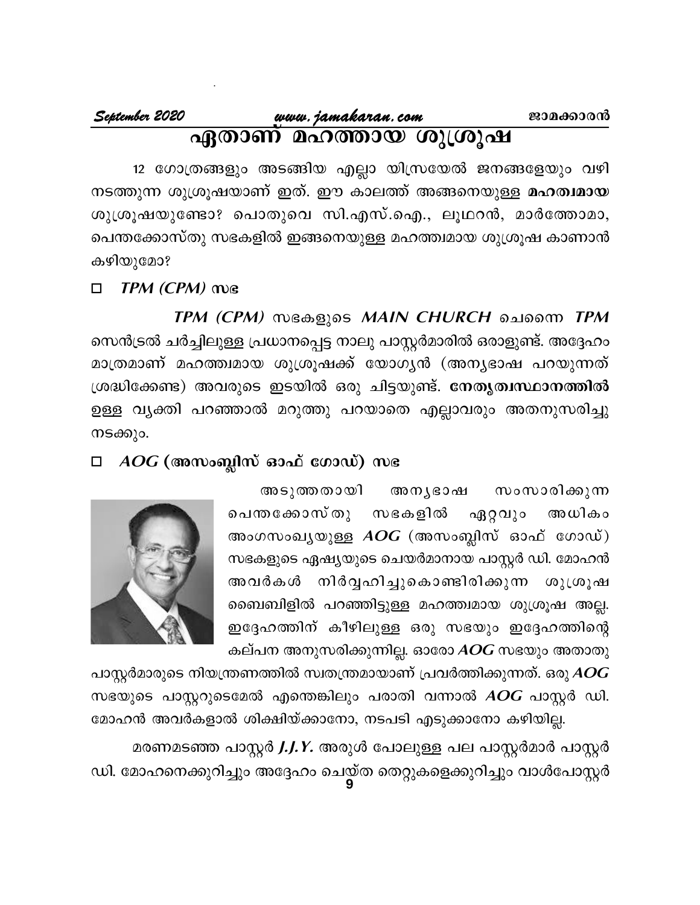12 ഗോത്രങ്ങളും അടങ്ങിയ എല്ലാ യിസ്രയേൽ ജനങ്ങളേയും വഴി നടത്തുന്ന ശുശ്രൂഷയാണ് ഇത്. ഈ കാലത്ത് അങ്ങനെയുള്ള **മഹത്വമായ** ശുശ്രൂഷയുണ്ടോ? പൊതുവെ സി.എസ്.ഐ., ലൂഥറൻ, മാർത്തോമാ, പെന്തക്കോസ്തു സഭകളിൽ ഇങ്ങനെയുള്ള മഹത്ത്വമായ ശുശ്രൂഷ കാണാൻ കഴിയുമോ?

#### TPM (CPM) WG  $\Box$

TPM (CPM) സഭകളുടെ MAIN CHURCH ചെന്നൈ TPM സെൻട്രൽ ചർച്ചിലുള്ള പ്രധാനപ്പെട്ട നാലു പാസ്റ്റർമാരിൽ ഒരാളുണ്ട്. അദ്ദേഹം മാത്രമാണ് മഹത്ത്വമായ ശുശ്രൂഷക്ക് യോഗൃൻ (അനൃഭാഷ പറയുന്നത് ശ്രദ്ധിക്കേണ്ട) അവരുടെ ഇടയിൽ ഒരു ചിട്ടയുണ്ട്. നേതൃത്വസ്ഥാനത്തിൽ ഉള്ള വൃക്തി പറഞ്ഞാൽ മറുത്തു പറയാതെ എല്ലാവരും അതനുസരിച്ചു നടക്കും.

#### $AOG$  (അസംബ്ലിസ് ഓഫ് ഗോഡ്) സഭ  $\Box$

അടുത്തതായി അനൃഭാഷ സംസാരിക്കുന്ന പെന്തക്കോസ് തു സഭകളിൽ ഏറ്റവും അധികം അംഗസംഖ്യയുള്ള  $AOG$  (അസംബ്ലിസ് ഓഫ് ഗോഡ്) സഭകളുടെ ഏഷ്യയുടെ ചെയർമാനായ പാസ്റ്റർ ഡി. മോഹൻ അവർകൾ നിർവ്വഹിച്ചുകൊണ്ടിരിക്കുന്ന ശുശ്രൂഷ ബൈബിളിൽ പറഞ്ഞിട്ടുള്ള മഹത്ത്വമായ ശുശ്രൂഷ അല്ല. ഇദ്ദേഹത്തിന് കീഴിലുള്ള ഒരു സഭയും ഇദ്ദേഹത്തിന്റെ കല്പന അനുസരിക്കുന്നില്ല. ഓരോ AOG സഭയും അതാതു



പാസ്റ്റർമാരുടെ നിയന്ത്രണത്തിൽ സ്വതന്ത്രമായാണ് പ്രവർത്തിക്കുന്നത്. ഒരു  $\boldsymbol{A}\boldsymbol{O}\boldsymbol{G}$ സഭയുടെ പാസ്റ്ററുടെമേൽ എന്തെങ്കിലും പരാതി വന്നാൽ AOG പാസ്റ്റർ ഡി. മോഹൻ അവർകളാൽ ശിക്ഷിയ്ക്കാനോ, നടപടി എടുക്കാനോ കഴിയില്ല.

മരണമടഞ്ഞ പാസ്റ്റർ *J.J.Y.* അരുൾ പോലുള്ള പല പാസ്റ്റർമാർ പാസ്റ്റർ ഡി. മോഹനെക്കുറിച്ചും അദ്ദേഹം ചെയ്ത തെറ്റുകളെക്കുറിച്ചും വാൾപോസ്റ്റർ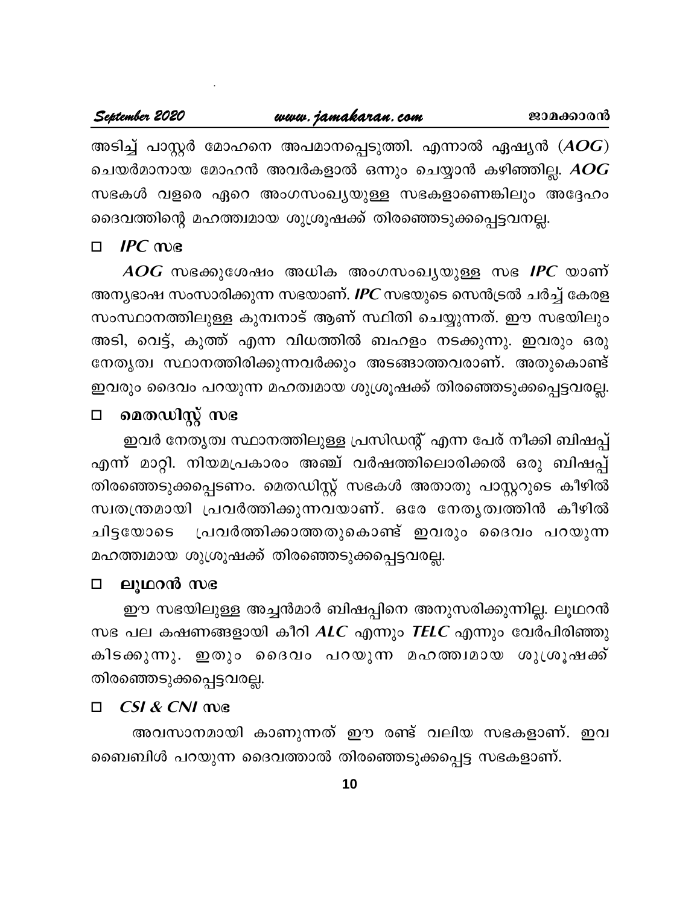അടിച്ച് പാസ്റ്റർ മോഹനെ അപമാനപ്പെടുത്തി. എന്നാൽ ഏഷ്യൻ  $(\boldsymbol{A}\boldsymbol{O}\boldsymbol{G})$ ചെയർമാനായ മോഹൻ അവർകളാൽ ഒന്നും ചെയ്യാൻ കഴിഞ്ഞില്ല. *AOG* സഭകൾ വളരെ ഏറെ അംഗസംഖ്യയുള്ള സഭകളാണെങ്കിലും അദ്ദേഹം ദൈവത്തിന്റെ മഹത്ത്വമായ ശുശ്രൂഷക്ക് തിരഞ്ഞെടുക്കപ്പെട്ടവനല്ല.

#### $IPC$  me  $\Box$

 $\overline{AOG}$  സഭക്കുശേഷം അധിക അംഗസംഖ്യയുള്ള സഭ IPC യാണ് അന്യഭാഷ സംസാരിക്കുന്ന സഭയാണ്. IPC സഭയുടെ സെൻട്രൽ ചർച്ച് കേരള സംസ്ഥാനത്തിലുള്ള കുമ്പനാട് ആണ് സ്ഥിതി ചെയ്യുന്നത്. ഈ സഭയിലും അടി, വെട്ട്, കുത്ത് എന്ന വിധത്തിൽ ബഹളം നടക്കുന്നു. ഇവരും ഒരു നേതൃത്വ സ്ഥാനത്തിരിക്കുന്നവർക്കും അടങ്ങാത്തവരാണ്. അതുകൊണ്ട് ഇവരും ദൈവം പറയുന്ന മഹത്വമായ ശുശ്രൂഷക്ക് തിരഞ്ഞെടുക്കപ്പെട്ടവരല്ല.

#### മെതഡിസ്റ്റ് സഭ  $\Box$

ഇവർ നേതൃത്വ സ്ഥാനത്തിലുള്ള പ്രസിഡന്റ് എന്ന പേര് നീക്കി ബിഷപ്പ് എന്ന് മാറ്റി. നിയമപ്രകാരം അഞ്ച് വർഷത്തിലൊരിക്കൽ ഒരു ബിഷപ്പ് തിരഞ്ഞെടുക്കപ്പെടണം. മെതഡിസ്റ്റ് സഭകൾ അതാതു പാസ്റ്ററുടെ കീഴിൽ സ്വതന്ത്രമായി പ്രവർത്തിക്കുന്നവയാണ്. ഒരേ നേതൃത്വത്തിൻ കീഴിൽ പ്രവർത്തിക്കാത്തതുകൊണ്ട് ഇവരും ദൈവം പറയുന്ന ചിട്ടയോടെ മഹത്ത്വമായ ശുശ്രൂഷക്ക് തിരഞ്ഞെടുക്കപ്പെട്ടവരല്ല.

#### ലൂഥറൻ സഭ  $\Box$

ഈ സഭയിലുള്ള അച്ചൻമാർ ബിഷപ്പിനെ അനുസരിക്കുന്നില്ല. ലൂഥറൻ സഭ പല കഷണങ്ങളായി കീറി  $ALC$  എന്നും  $TELC$  എന്നും വേർപിരിഞ്ഞു കിടക്കുന്നു. ഇതും ദൈവം പറയുന്ന മഹത്ത്വമായ ശുശ്രൂഷക്ക് തിരഞ്ഞെടുക്കപ്പെട്ടവരല്ല.

#### CSI & CNI me  $\Box$

അവസാനമായി കാണുന്നത് ഈ രണ്ട് വലിയ സഭകളാണ്. ഇവ ബൈബിൾ പറയുന്ന ദൈവത്താൽ തിരഞ്ഞെടുക്കപ്പെട്ട സഭകളാണ്.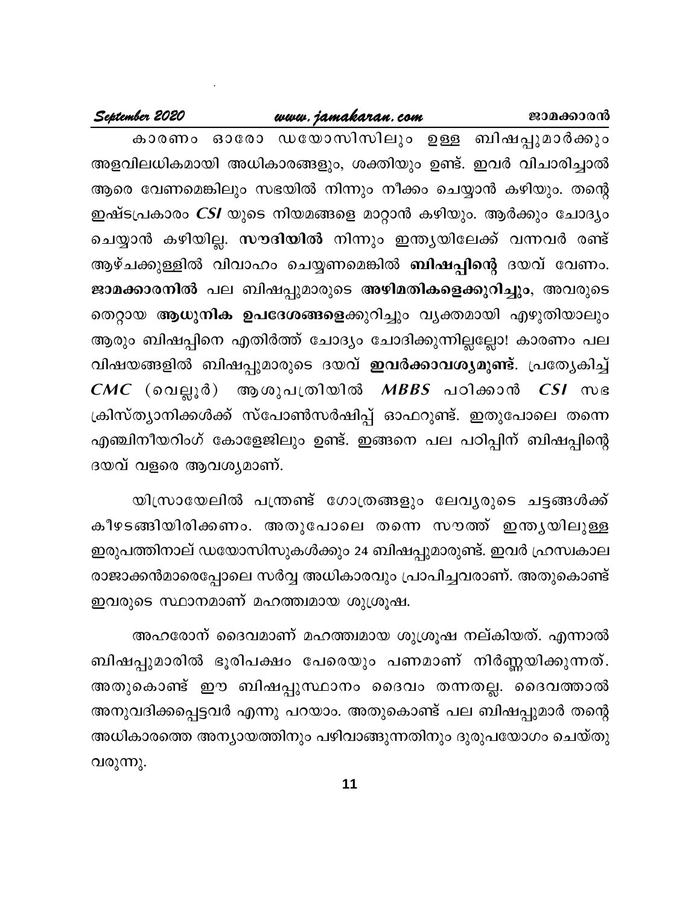# www.jamakaran.com

#### September 2020

കാരണം ഓരോ ഡയോസിസിലും ഉള്ള ബിഷപ്പുമാർക്കും അളവിലധികമായി അധികാരങ്ങളും, ശക്തിയും ഉണ്ട്. ഇവർ വിചാരിച്ചാൽ ആരെ വേണമെങ്കിലും സഭയിൽ നിന്നും നീക്കം ചെയ്യാൻ കഴിയും. തന്റെ ഇഷ്ടപ്രകാരം *CSI* യുടെ നിയമങ്ങളെ മാറ്റാൻ കഴിയും. ആർക്കും ചോദ്യം ചെയ്യാൻ കഴിയില്ല. സൗദിയിൽ നിന്നും ഇന്ത്യയിലേക്ക് വന്നവർ രണ്ട് ആഴ്ചക്കുള്ളിൽ വിവാഹം ചെയ്യണമെങ്കിൽ <mark>ബിഷപ്പിന്റെ</mark> ദയവ് വേണം. ജാമക്കാരനിൽ പല ബിഷപ്പുമാരുടെ അഴിമതികളെക്കുറിച്ചും, അവരുടെ തെറ്റായ ആധുനിക ഉപദേശങ്ങളെക്കുറിച്ചും വൃക്തമായി എഴുതിയാലും ആരും ബിഷപ്പിനെ എതിർത്ത് ചോദ്യം ചോദിക്കുന്നില്ലല്ലോ! കാരണം പല വിഷയങ്ങളിൽ ബിഷപ്പുമാരുടെ ദയവ് <mark>ഇവർക്കാവശ്യമുണ്ട്</mark>. പ്രത്യേകിച്ച്  $CMC$  (വെല്ലൂർ) ആശുപത്രിയിൽ  $MBBS$  പഠിക്കാൻ  $CSI$  സഭ ക്രിസ്ത്യാനിക്കൾക്ക് സ്പോൺസർഷിപ്പ് ഓഫറുണ്ട്. ഇതുപോലെ തന്നെ എഞ്ചിനീയറിംഗ് കോളേജിലും ഉണ്ട്. ഇങ്ങനെ പല പഠിപ്പിന് ബിഷപ്പിന്റെ ദയവ് വളരെ ആവശ്യമാണ്.

യിസ്രായേലിൽ പന്ത്രണ്ട് ഗോത്രങ്ങളും ലേവൃരുടെ ചട്ടങ്ങൾക്ക് കീഴടങ്ങിയിരിക്കണം. അതുപോലെ തന്നെ സൗത്ത് ഇന്തൃയിലുള്ള ഇരുപത്തിനാല് ഡയോസിസുകൾക്കും 24 ബിഷപ്പുമാരുണ്ട്. ഇവർ ഹ്രസ്വകാല രാജാക്കൻമാരെപ്പോലെ സർവ്വ അധികാരവും പ്രാപിച്ചവരാണ്. അതുകൊണ്ട് ഇവരുടെ സ്ഥാനമാണ് മഹത്ത്വമായ ശുശ്രൂഷ.

അഹരോന് ദൈവമാണ് മഹത്ത്വമായ ശുശ്രൂഷ നല്കിയത്. എന്നാൽ ബിഷപ്പുമാരിൽ ഭൂരിപക്ഷം പേരെയും പണമാണ് നിർണ്ണയിക്കുന്നത്. അതുകൊണ്ട് ഈ ബിഷപ്പുസ്ഥാനം ദൈവം തന്നതല്ല. ദൈവത്താൽ അനുവദിക്കപ്പെട്ടവർ എന്നു പറയാം. അതുകൊണ്ട് പല ബിഷപ്പുമാർ തന്റെ അധികാരത്തെ അന്യായത്തിനും പഴിവാങ്ങുന്നതിനും ദുരുപയോഗം ചെയ്തു വരുന്നു.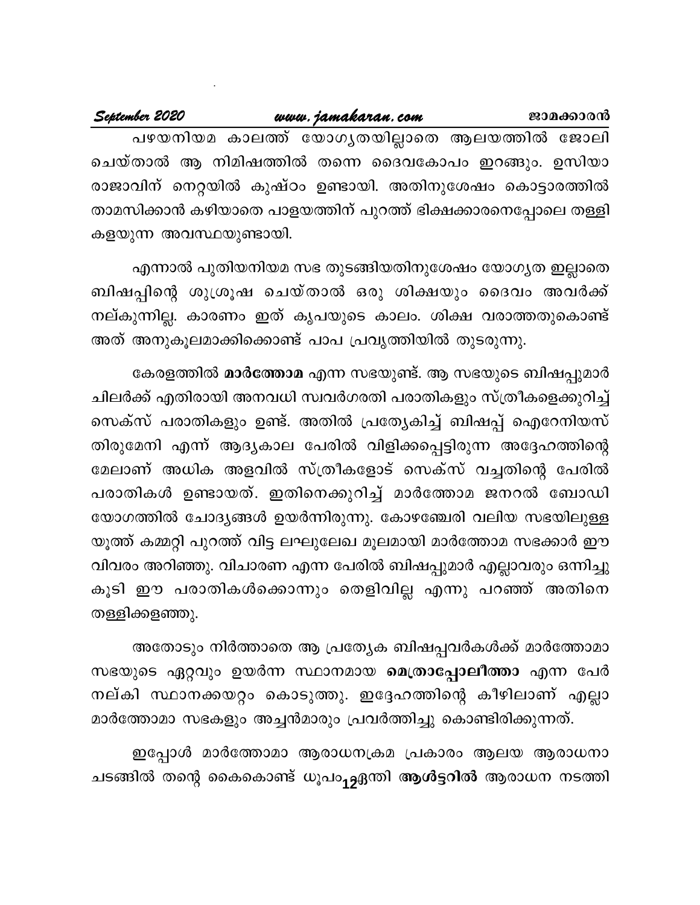#### September 2020 www.jamakaran.com ജാമക്കാരൻ പഴയനിയമ കാലത്ത് യോഗൃതയില്ലാതെ ആലയത്തിൽ ജോലി ചെയ്താൽ ആ നിമിഷത്തിൽ തന്നെ ദൈവകോപം ഇറങ്ങും. ഉസിയാ

രാജാവിന് നെറ്റയിൽ കുഷ്ഠം ഉണ്ടായി. അതിനുശേഷം കൊട്ടാരത്തിൽ താമസിക്കാൻ കഴിയാതെ പാളയത്തിന് പുറത്ത് ഭിക്ഷക്കാരനെപ്പോലെ തള്ളി കളയുന്ന അവസ്ഥയുണ്ടായി.

എന്നാൽ പുതിയനിയമ സഭ തുടങ്ങിയതിനുശേഷം യോഗൃത ഇല്ലാതെ ബിഷപ്പിന്റെ ശുശ്രൂഷ ചെയ്താൽ ഒരു ശിക്ഷയും ദൈവം അവർക്ക് നല്കുന്നില്ല. കാരണം ഇത് കൃപയുടെ കാലം. ശിക്ഷ വരാത്തതുകൊണ്ട് അത് അനുകൂലമാക്കിക്കൊണ്ട് പാപ പ്രവൃത്തിയിൽ തുടരുന്നു.

കേരളത്തിൽ **മാർത്തോമ** എന്ന സഭയുണ്ട്. ആ സഭയുടെ ബിഷപ്പുമാർ ചിലർക്ക് എതിരായി അനവധി സ്വവർഗരതി പരാതികളും സ്ത്രീകളെക്കുറിച്ച് സെക്സ് പരാതികളും ഉണ്ട്. അതിൽ പ്രത്യേകിച്ച് ബിഷപ്പ് ഐറേനിയസ് തിരുമേനി എന്ന് ആദൃകാല പേരിൽ വിളിക്കപ്പെട്ടിരുന്ന അദ്ദേഹത്തിന്റെ മേലാണ് അധിക അളവിൽ സ്ത്രീകളോട് സെക്സ് വച്ചതിന്റെ പേരിൽ പരാതികൾ ഉണ്ടായത്. ഇതിനെക്കുറിച്ച് മാർത്തോമ ജനറൽ ബോഡി യോഗത്തിൽ ചോദ്യങ്ങൾ ഉയർന്നിരുന്നു. കോഴഞ്ചേരി വലിയ സഭയിലുള്ള യൂത്ത് കമ്മറ്റി പുറത്ത് വിട്ട ലഘുലേഖ മൂലമായി മാർത്തോമ സഭക്കാർ ഈ വിവരം അറിഞ്ഞു. വിചാരണ എന്ന പേരിൽ ബിഷപ്പുമാർ എല്ലാവരും ഒന്നിച്ചു കൂടി ഈ പരാതികൾക്കൊന്നും തെളിവില്ല എന്നു പറഞ്ഞ് അതിനെ തള്ളിക്കളഞ്ഞു.

അതോടും നിർത്താതെ ആ പ്രത്യേക ബിഷപ്പവർകൾക്ക് മാർത്തോമാ സഭയുടെ ഏറ്റവും ഉയർന്ന സ്ഥാനമായ മെത്രാപ്പോലീത്താ എന്ന പേർ നല്കി സ്ഥാനക്കയറ്റം കൊടുത്തു. ഇദ്ദേഹത്തിന്റെ കീഴിലാണ് എല്ലാ മാർത്തോമാ സഭകളും അച്ചൻമാരും പ്രവർത്തിച്ചു കൊണ്ടിരിക്കുന്നത്.

ഇപ്പോൾ മാർത്തോമാ ആരാധനക്രമ പ്രകാരം ആലയ ആരാധനാ ചടങ്ങിൽ തന്റെ കൈകൊണ്ട് ധൂപം<sub>12</sub>ഏന്തി **ആൾട്ടറിൽ** ആരാധന നടത്തി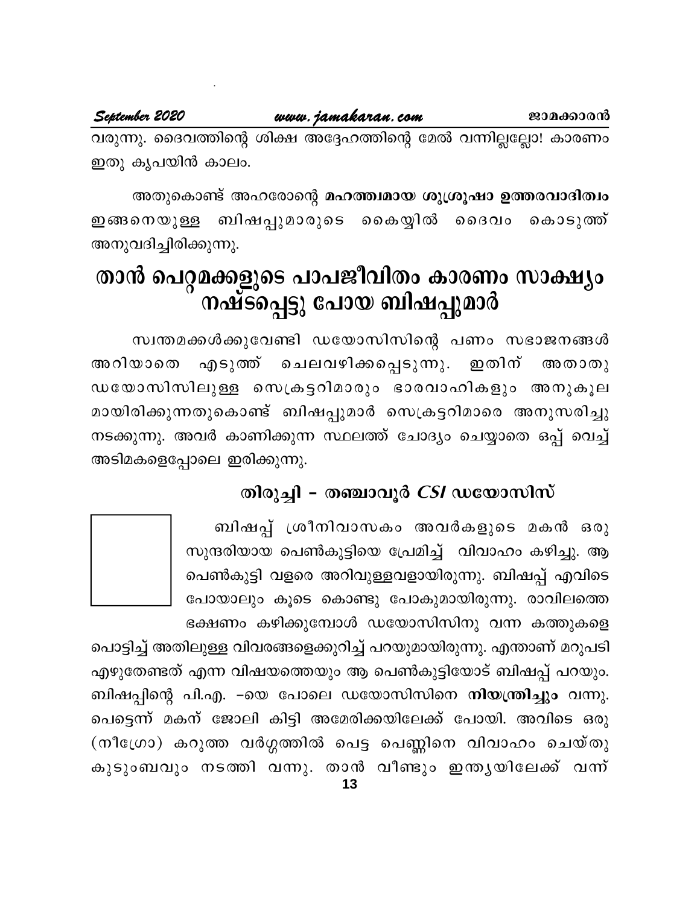www.jamakaran.com

വരുന്നു. ദൈവത്തിന്റെ ശിക്ഷ അദ്ദേഹത്തിന്റെ മേൽ വന്നില്ലല്ലോ! കാരണം ഇതു കൃപയിൻ കാലം.

അതുകൊണ്ട് അഹരോന്റെ മഹത്ത്വമായ ശുശ്രൂഷാ ഉത്തരവാദിത്വം ഇങ്ങനെയുള്ള ബിഷപ്പുമാരുടെ കൈയ്യിൽ ദൈവം കൊടുത്ത് അനുവദിച്ചിരിക്കുന്നു.

# താൻ പെറ്റമക്കളുടെ പാപജീവിതം കാരണം സാക്ഷ്യം നഷ്ട്പ്പെട്ടു പോയ ബിഷപ്പുമാർ

സ്വന്തമക്കൾക്കുവേണ്ടി ഡയോസിസിന്റെ പണം സഭാജനങ്ങൾ എടുത്ത് ചെലവഴിക്കപ്പെടുന്നു. ഇതിന് അറിയാതെ അതാതു ഡയോസിസിലുള്ള സെക്രട്ടറിമാരും ഭാരവാഹികളും അനുകൂല മായിരിക്കുന്നതുകൊണ്ട് ബിഷപ്പുമാർ സെക്രട്ടറിമാരെ അനുസരിച്ചു നടക്കുന്നു. അവർ കാണിക്കുന്ന സ്ഥലത്ത് ചോദ്യം ചെയ്യാതെ ഒപ്പ് വെച്ച് അടിമകളെപ്പോലെ ഇരിക്കുന്നു.

# തിരുച്ചി - തഞ്ചാവൂർ  $CSI$  ഡയോസിസ്

ബിഷപ്പ് ശ്രീനിവാസകം അവർകളുടെ മകൻ ഒരു സുന്ദരിയായ പെൺകുട്ടിയെ പ്രേമിച്ച് വിവാഹം കഴിച്ചു. ആ പെൺകുട്ടി വളരെ അറിവുള്ളവളായിരുന്നു. ബിഷപ്പ് എവിടെ പോയാലും കൂടെ കൊണ്ടു പോകുമായിരുന്നു. രാവിലത്തെ ഭക്ഷണം കഴിക്കുമ്പോൾ ഡയോസിസിനു വന്ന കത്തുകളെ



പൊട്ടിച്ച് അതിലുള്ള വിവരങ്ങളെക്കുറിച്ച് പറയുമായിരുന്നു. എന്താണ് മറുപടി എഴുതേണ്ടത് എന്ന വിഷയത്തെയും ആ പെൺകുട്ടിയോട് ബിഷപ്പ് പറയും. ബിഷപ്പിന്റെ പി.എ. –യെ പോലെ ഡയോസിസിനെ **നിയന്ത്രിച്ചും** വന്നു. പെട്ടെന്ന് മകന് ജോലി കിട്ടി അമേരിക്കയിലേക്ക് പോയി. അവിടെ ഒരു (നീഗ്രോ) കറുത്ത വർഗ്ഗത്തിൽ പെട്ട പെണ്ണിനെ വിവാഹം ചെയ്തു കുടുംബവും നടത്തി വന്നു. താൻ വീണ്ടും ഇന്തൃയിലേക്ക് വന്ന്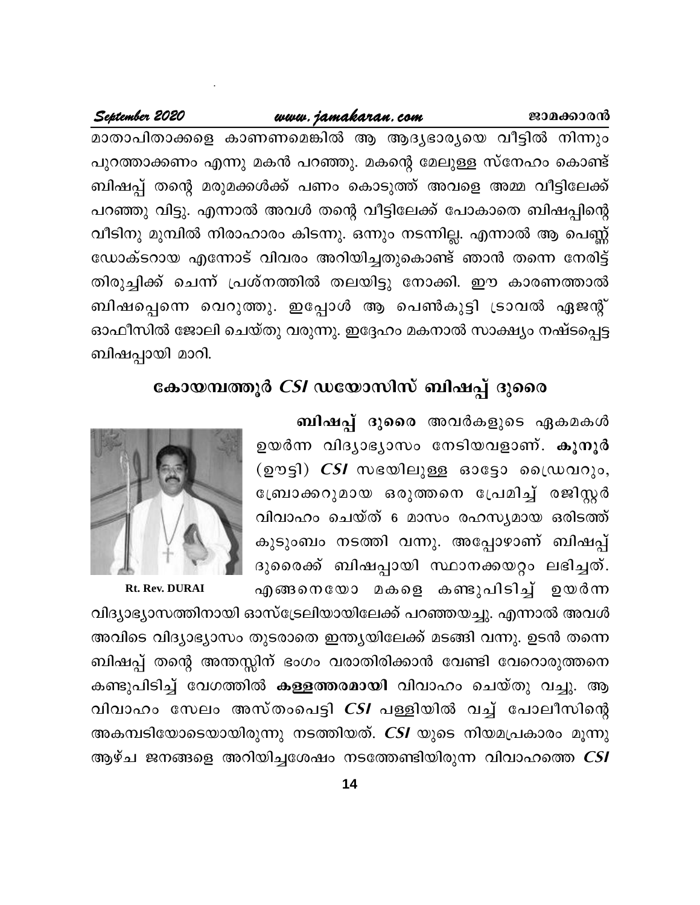#### www.jamakaran.com

#### September 2020

മാതാപിതാക്കളെ കാണണമെങ്കിൽ ആ ആദ്യഭാര്യയെ വീട്ടിൽ നിന്നും പുറത്താക്കണം എന്നു മകൻ പറഞ്ഞു. മകന്റെ മേലുള്ള സ്നേഹം കൊണ്ട് ബിഷപ്പ് തന്റെ മരുമക്കൾക്ക് പണം കൊടുത്ത് അവളെ അമ്മ വീട്ടിലേക്ക് പറഞ്ഞു വിട്ടു. എന്നാൽ അവൾ തന്റെ വീട്ടിലേക്ക് പോകാതെ ബിഷപ്പിന്റെ വീടിനു മുമ്പിൽ നിരാഹാരം കിടന്നു. ഒന്നും നടന്നില്ല. എന്നാൽ ആ പെണ്ണ് ഡോക്ടറായ എന്നോട് വിവരം അറിയിച്ചതുകൊണ്ട് ഞാൻ തന്നെ നേരിട്ട് തിരുച്ചിക്ക് ചെന്ന് പ്രശ്നത്തിൽ തലയിട്ടു നോക്കി. ഈ കാരണത്താൽ ബിഷപ്പെന്നെ വെറുത്തു. ഇപ്പോൾ ആ പെൺകുട്ടി ട്രാവൽ ഏജന്റ് ഓഫീസിൽ ജോലി ചെയ്തു വരുന്നു. ഇദ്ദേഹം മകനാൽ സാക്ഷ്യം നഷ്ടപ്പെട്ട ബിഷപ്പായി മാറി.

# കോയമ്പത്തൂർ *CSI* ഡയോസിസ് ബിഷപ്പ് ദുരൈ

ബിഷപ്പ് ദുരൈ അവർകളുടെ ഏകമകൾ ഉയർന്ന വിദ്യാഭ്യാസം നേടിയവളാണ്. കുനൂർ (ഊട്ടി)  $CSI$  സഭയിലുള്ള ഓട്ടോ ഡ്രൈവറും, ന്ത്രോക്കറുമായ ഒരുത്തനെ പ്രേമിച്ച് രജിസ്റ്റർ വിവാഹം ചെയ്ത് 6 മാസം രഹസ്യമായ ഒരിടത്ത് കുടുംബം നടത്തി വന്നു. അപ്പോഴാണ് ബിഷപ്പ് ദുരൈക്ക് ബിഷപ്പായി സ്ഥാനക്കയറ്റം ലഭിച്ചത്. എങ്ങനെയോ മകളെ കണ്ടുപിടിച്ച് ഉയർന്ന



Rt. Rev. DURAI

വിദ്യാഭ്യാസത്തിനായി ഓസ്ട്രേലിയായിലേക്ക് പറഞ്ഞയച്ചു. എന്നാൽ അവൾ അവിടെ വിദ്യാഭ്യാസം തുടരാതെ ഇന്ത്യയിലേക്ക് മടങ്ങി വന്നു. ഉടൻ തന്നെ ബിഷപ്പ് തന്റെ അന്തസ്സിന് ഭംഗം വരാതിരിക്കാൻ വേണ്ടി വേറൊരുത്തനെ കണ്ടുപിടിച്ച് വേഗത്തിൽ കള്ളത്തരമായി വിവാഹം ചെയ്തു വച്ചു. ആ വിവാഹം സേലം അസ്തംപെട്ടി *CSI* പള്ളിയിൽ വച്ച് പോലീസിന്റെ അകമ്പടിയോടെയായിരുന്നു നടത്തിയത്. CSI യുടെ നിയമപ്രകാരം മൂന്നു ആഴ്ച ജനങ്ങളെ അറിയിച്ചശേഷം നടത്തേണ്ടിയിരുന്ന വിവാഹത്തെ CSI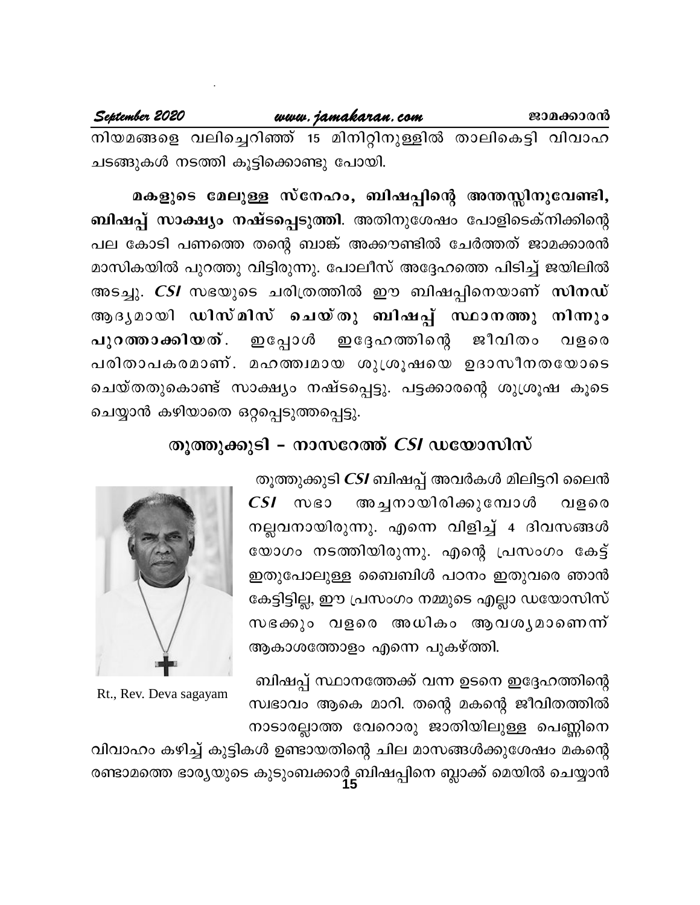www.jamakaran.com September 2020 ജാമക്കാരൻ നിയമങ്ങളെ വലിച്ചെറിഞ്ഞ് 15 മിനിറ്റിനുള്ളിൽ താലികെട്ടി വിവാഹ ചടങ്ങുകൾ നടത്തി കൂട്ടിക്കൊണ്ടു പോയി.

മകളുടെ മേലുള്ള സ്നേഹം, ബിഷപ്പിന്റെ അന്തസ്സിനുവേണ്ടി, <mark>ബിഷപ്പ് സാക്ഷ്യം നഷ്ടപ്പെടുത്തി</mark>. അതിനുശേഷം പോളിടെക്നിക്കിന്റെ പല കോടി പണത്തെ തന്റെ ബാങ്ക് അക്കൗണ്ടിൽ ചേർത്തത് ജാമക്കാരൻ മാസികയിൽ പുറത്തു വിട്ടിരുന്നു. പോലീസ് അദ്ദേഹത്തെ പിടിച്ച് ജയിലിൽ അടച്ചു. *CSI* സഭയുടെ ചരിത്രത്തിൽ ഈ ബിഷപ്പിനെയാണ് സി<mark>നഡ്</mark> ആദൃമായി ഡിസ്മിസ് ചെയ്തു ബിഷപ്പ് സ്ഥാനത്തു നിന്നും പുറത്താക്കിയത്. ഇപ്പോൾ ഇദ്ദേഹത്തിന്റെ ജീവിതം വളരെ പരിതാപകരമാണ്. മഹത്ത്വമായ ശുശ്രൂഷയെ ഉദാസീനതയോടെ ചെയ്തതുകൊണ്ട് സാക്ഷ്യം നഷ്ടപ്പെട്ടു. പട്ടക്കാരന്റെ ശുശ്രൂഷ കൂടെ ചെയ്യാൻ കഴിയാതെ ഒറ്റപ്പെടുത്തപ്പെട്ടു.

## തുത്തുക്കുടി – നാസറേത്ത്  $CSI$  ഡയോസിസ്

തൂത്തുക്കുടി *CSI* ബിഷപ്പ് അവർകൾ മിലിട്ടറി ലൈൻ  $CSI$   $\infty$   $s$ അച്ചനായിരിക്കുമ്പോൾ വളരെ നല്ലവനായിരുന്നു. എന്നെ വിളിച്ച് 4 ദിവസങ്ങൾ യോഗം നടത്തിയിരുന്നു. എന്റെ പ്രസംഗം കേട്ട് ഇതുപോലുള്ള ബൈബിൾ പഠനം ഇതുവരെ ഞാൻ കേട്ടിട്ടില്ല, ഈ പ്രസംഗം നമ്മുടെ എല്ലാ ഡയോസിസ് സഭക്കും വളരെ അധികം ആവശൃമാണെന്ന് ആകാശത്തോളം എന്നെ പുകഴ്ത്തി.

ബിഷപ്പ് സ്ഥാനത്തേക്ക് വന്ന ഉടനെ ഇദ്ദേഹത്തിന്റെ സ്വഭാവം ആകെ മാറി. തന്റെ മകന്റെ ജീവിതത്തിൽ നാടാരല്ലാത്ത വേറൊരു ജാതിയിലുള്ള പെണ്ണിനെ



Rt., Rev. Deva sagayam

വിവാഹം കഴിച്ച് കുട്ടികൾ ഉണ്ടായതിന്റെ ചില മാസങ്ങൾക്കുശേഷം മകന്റെ രണ്ടാമത്തെ ഭാര്യയുടെ കുടുംബക്കാർ്ട്ലബിഷപ്പിനെ ബ്ലാക്ക് മെയിൽ ചെയ്യാൻ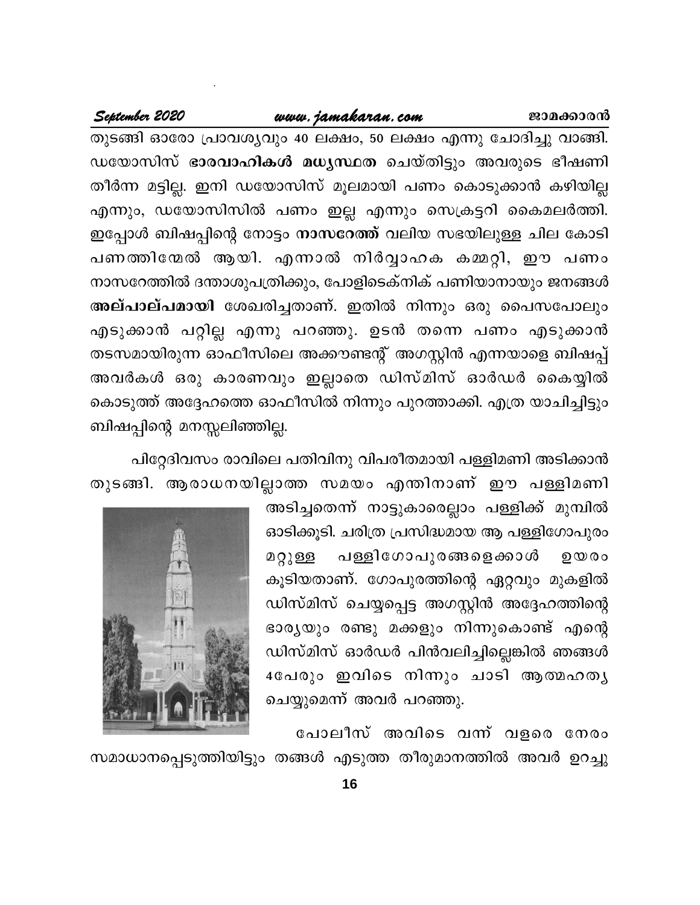#### www.jamakaran.com

#### September 2020

തുടങ്ങി ഓരോ പ്രാവശ്യവും 40 ലക്ഷം, 50 ലക്ഷം എന്നു ചോദിച്ചു വാങ്ങി. ഡയോസിസ് ഭാരവാഹികൾ മധൃസ്ഥത ചെയ്തിട്ടും അവരുടെ ഭീഷണി തീർന്ന മട്ടില്ല. ഇനി ഡയോസിസ് മൂലമായി പണം കൊടുക്കാൻ കഴിയില്ല എന്നും, ഡയോസിസിൽ പണം ഇല്ല എന്നും സെക്രട്ടറി കൈമലർത്തി. ഇപ്പോൾ ബിഷപ്പിന്റെ നോട്ടം നാസറേത്ത് വലിയ സഭയിലുള്ള ചില കോടി പണത്തിന്മേൽ ആയി. എന്നാൽ നിർവ്വാഹക കമ്മറ്റി, ഈ പണം നാസറേത്തിൽ ദന്താശുപത്രിക്കും, പോളിടെക്നിക് പണിയാനായും ജനങ്ങൾ അല്പാല്പമായി ശേഖരിച്ചതാണ്. ഇതിൽ നിന്നും ഒരു പൈസപോലും എടുക്കാൻ പറ്റില്ല എന്നു പറഞ്ഞു. ഉടൻ തന്നെ പണം എടുക്കാൻ തടസമായിരുന്ന ഓഫീസിലെ അക്കൗണ്ടന്റ് അഗസ്റ്റിൻ എന്നയാളെ ബിഷപ്പ് അവർകൾ ഒരു കാരണവും ഇല്ലാതെ ഡിസ്മിസ് ഓർഡർ കൈയ്യിൽ കൊടുത്ത് അദ്ദേഹത്തെ ഓഫീസിൽ നിന്നും പുറത്താക്കി. എത്ര യാചിച്ചിട്ടും ബിഷപ്പിന്റെ മനസ്സലിഞ്ഞില്ല.

പിറ്റേദിവസം രാവിലെ പതിവിനു വിപരീതമായി പള്ളിമണി അടിക്കാൻ തുടങ്ങി. ആരാധനയില്ലാത്ത സമയം എന്തിനാണ് ഈ പള്ളിമണി

> അടിച്ചതെന്ന് നാട്ടുകാരെല്ലാം പള്ളിക്ക് മുമ്പിൽ ഓടിക്കൂടി. ചരിത്ര പ്രസിദ്ധമായ ആ പള്ളിഗോപുരം പള്ളിഗോപുരങ്ങളെക്കാൾ മറ്റുള്ള  $90000$ കൂടിയതാണ്. ഗോപുരത്തിന്റെ ഏറ്റവും മുകളിൽ ഡിസ്മിസ് ചെയ്യപ്പെട്ട അഗസ്റ്റിൻ അദ്ദേഹത്തിന്റെ ഭാര്യയും രണ്ടു മക്കളും നിന്നുകൊണ്ട് എന്റെ ഡിസ്മിസ് ഓർഡർ പിൻവലിച്ചില്ലെങ്കിൽ ഞങ്ങൾ 4പേരും ഇവിടെ നിന്നും ചാടി ആത്മഹതൃ ചെയ്യുമെന്ന് അവർ പറഞ്ഞു.



പോലീസ് അവിടെ വന്ന വളരെ നേരം സമാധാനപ്പെടുത്തിയിട്ടും തങ്ങൾ എടുത്ത തീരുമാനത്തിൽ അവർ ഉറച്ചു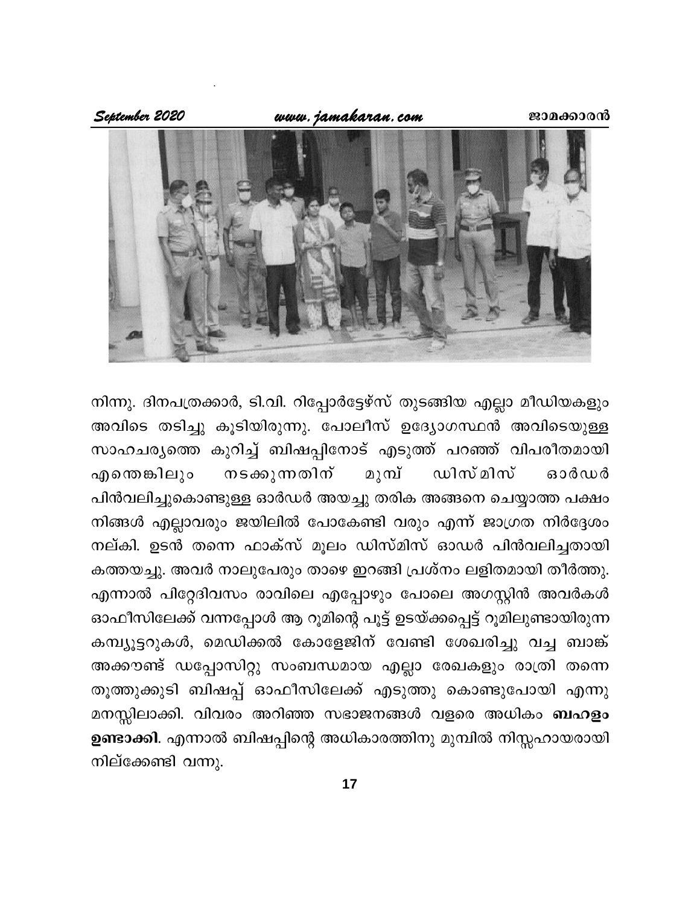www.jamakaran.com

September 2020



നിന്നു. ദിനപത്രക്കാർ, ടി.വി. റിപ്പോർട്ടേഴ്സ് തുടങ്ങിയ എല്ലാ മീഡിയകളും അവിടെ തടിച്ചു കൂടിയിരുന്നു. പോലീസ് ഉദ്യോഗസ്ഥൻ അവിടെയുള്ള സാഹചര്യത്തെ കുറിച്ച് ബിഷപ്പിനോട് എടുത്ത് പറഞ്ഞ് വിപരീതമായി മുമ്പ് എതെങ്കിലും നടക്കുന്നതിന് ഡിസ് മിസ് ഓർഡർ പിൻവലിച്ചുകൊണ്ടുള്ള ഓർഡർ അയച്ചു തരിക അങ്ങനെ ചെയ്യാത്ത പക്ഷം നിങ്ങൾ എല്ലാവരും ജയിലിൽ പോകേണ്ടി വരും എന്ന് ജാഗ്രത നിർദ്ദേശം നല്കി. ഉടൻ തന്നെ ഫാക്സ് മൂലം ഡിസ്മിസ് ഓഡർ പിൻവലിച്ചതായി കത്തയച്ചു. അവർ നാലുപേരും താഴെ ഇറങ്ങി പ്രശ്നം ലളിതമായി തീർത്തു. എന്നാൽ പിറ്റേദിവസം രാവിലെ എപ്പോഴും പോലെ അഗസ്റ്റിൻ അവർകൾ ഓഫീസിലേക്ക് വന്നപ്പോൾ ആ റൂമിന്റെ പൂട്ട് ഉടയ്ക്കപ്പെട്ട് റൂമിലുണ്ടായിരുന്ന കമ്പ്യൂട്ടറുകൾ, മെഡിക്കൽ കോളേജിന് വേണ്ടി ശേഖരിച്ചു വച്ച ബാങ്ക് അക്കൗണ്ട് ഡപ്പോസിറ്റു സംബന്ധമായ എല്ലാ രേഖകളും രാത്രി തന്നെ തൂത്തുക്കുടി ബിഷപ്പ് ഓഫീസിലേക്ക് എടുത്തു കൊണ്ടുപോയി എന്നു മനസ്സിലാക്കി. വിവരം അറിഞ്ഞ സഭാജനങ്ങൾ വളരെ അധികം ബഹളം ഉണ്ടാക്കി. എന്നാൽ ബിഷപ്പിന്റെ അധികാരത്തിനു മുമ്പിൽ നിസ്സഹായരായി നില്ക്കേണ്ടി വന്നു.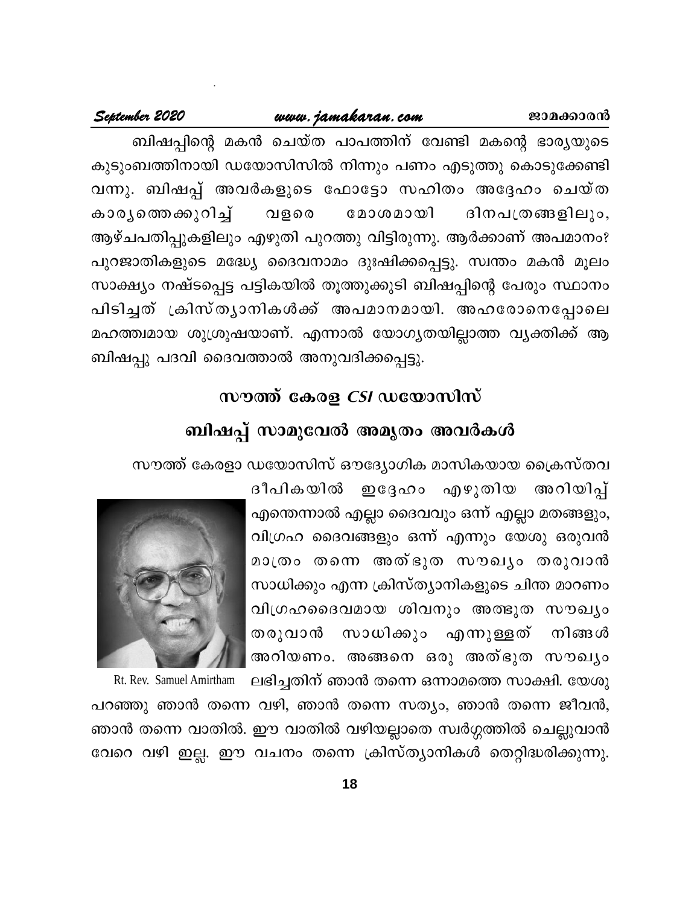#### www.jamakaran.com

#### September 2020

ബിഷപ്പിന്റെ മകൻ ചെയ്ത പാപത്തിന് വേണ്ടി മകന്റെ ഭാര്യയുടെ കുടുംബത്തിനായി ഡയോസിസിൽ നിന്നും പണം എടുത്തു കൊടുക്കേണ്ടി വന്നു. ബിഷപ്പ് അവർകളുടെ ഫോട്ടോ സഹിതം അദ്ദേഹം ചെയ്ത കാര്യത്തെക്കുറിച്ച് മോശമായി വളരെ ദിനപത്രങ്ങളിലും, ആഴ്ചപതിപ്പുകളിലും എഴുതി പുറത്തു വിട്ടിരുന്നു. ആർക്കാണ് അപമാനം? പുറജാതികളുടെ മദ്ധ്യേ ദൈവനാമം ദുഃഷിക്കപ്പെട്ടു. സ്വന്തം മകൻ മൂലം സാക്ഷ്യം നഷ്ടപ്പെട്ട പട്ടികയിൽ തൂത്തുക്കുടി ബിഷപ്പിന്റെ പേരും സ്ഥാനം പിടിച്ചത് ക്രിസ്ത്യാനികൾക്ക് അപമാനമായി. അഹരോനെപ്പോലെ മഹത്ത്വമായ ശുശ്രൂഷയാണ്. എന്നാൽ യോഗ്യതയില്ലാത്ത വ്യക്തിക്ക് ആ ബിഷപ്പു പദവി ദൈവത്താൽ അനുവദിക്കപ്പെട്ടു.

## സൗത്ത് കേരള *CSI* ഡയോസിസ്

## ബിഷപ്പ് സാമുവേൽ അമൃതം അവർകൾ

സൗത്ത് കേരളാ ഡയോസിസ് ഔദ്യോഗിക മാസികയായ ക്രൈസ്തവ

ഇദ്ദേഹം എഴുതിയ ദീപികയിൽ അറിയിപ്പ് എന്തെന്നാൽ എല്ലാ ദൈവവും ഒന്ന് എല്ലാ മതങ്ങളും, വിഗ്രഹ ദൈവങ്ങളും ഒന്ന് എന്നും യേശു ഒരുവൻ മാത്രം തന്നെ അത്ഭുത സൗഖ്യം തരുവാൻ സാധിക്കും എന്ന ക്രിസ്ത്യാനികളുടെ ചിന്ത മാറണം വിഗ്രഹദൈവമായ ശിവനും അത്ഭുത സൗഖ്യം തരുവാൻ സാധിക്കും എന്നുള്ളത് നിങ്ങൾ അറിയണം. അങ്ങനെ ഒരു അത്ഭുത സൗഖ്യം



Rt. Rev. Samuel Amirtham ലഭിച്ചതിന് ഞാൻ തന്നെ ഒന്നാമത്തെ സാക്ഷി. യേശു പറഞ്ഞു ഞാൻ തന്നെ വഴി, ഞാൻ തന്നെ സത്യം, ഞാൻ തന്നെ ജീവൻ, ഞാൻ തന്നെ വാതിൽ. ഈ വാതിൽ വഴിയല്ലാതെ സ്വർഗ്ഗത്തിൽ ചെല്ലുവാൻ വേറെ വഴി ഇല്ല. ഈ വചനം തന്നെ ക്രിസ്ത്യാനികൾ തെറ്റിദ്ധരിക്കുന്നു.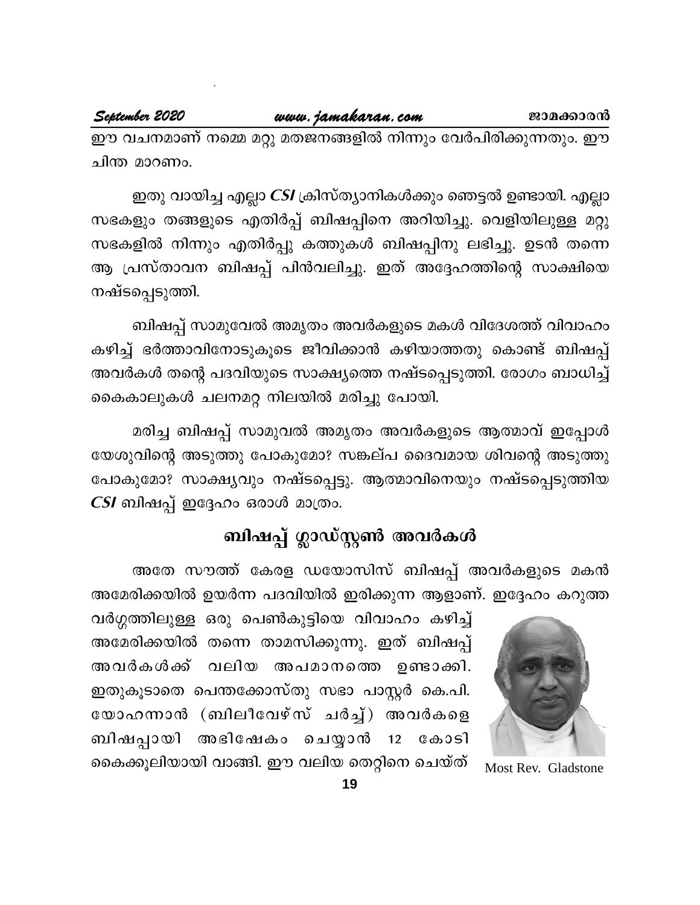ഈ വചനമാണ് നമ്മെ മറ്റു മതജനങ്ങളിൽ നിന്നും വേർപിരിക്കുന്നതും. ഈ ചിന്ത മാറണം.

ഇതു വായിച്ച എല്ലാ *CSI* ക്രിസ്ത്യാനികൾക്കും ഞെട്ടൽ ഉണ്ടായി. എല്ലാ സഭകളും തങ്ങളുടെ എതിർപ്പ് ബിഷപ്പിനെ അറിയിച്ചു. വെളിയിലുള്ള മറ്റു സഭകളിൽ നിന്നും എതിർപ്പു കത്തുകൾ ബിഷപ്പിനു ലഭിച്ചു. ഉടൻ തന്നെ ആ പ്രസ്താവന ബിഷപ്പ് പിൻവലിച്ചു. ഇത് അദ്ദേഹത്തിന്റെ സാക്ഷിയെ നഷ്ടപ്പെടുത്തി.

ബിഷപ്പ് സാമുവേൽ അമൃതം അവർകളുടെ മകൾ വിദേശത്ത് വിവാഹം കഴിച്ച് ഭർത്താവിനോടുകൂടെ ജീവിക്കാൻ കഴിയാത്തതു കൊണ്ട് ബിഷപ്പ് അവർകൾ തന്റെ പദവിയുടെ സാക്ഷ്യത്തെ നഷ്ടപ്പെടുത്തി. രോഗം ബാധിച്ച് കൈകാലുകൾ ചലനമറ്റ നിലയിൽ മരിച്ചു പോയി.

മരിച്ച ബിഷപ്പ് സാമുവൽ അമൃതം അവർകളുടെ ആത്മാവ് ഇപ്പോൾ യേശുവിന്റെ അടുത്തു പോകുമോ? സങ്കല്പ ദൈവമായ ശിവന്റെ അടുത്തു പോകുമോ? സാക്ഷ്യവും നഷ്ടപ്പെട്ടു. ആത്മാവിനെയും നഷ്ടപ്പെടുത്തിയ CSI ബിഷപ്പ് ഇദ്ദേഹം ഒരാൾ മാത്രം.

# ബിഷപ്പ് ഗ്ലാഡ്സ്റ്റൺ അവർകൾ

അതേ സൗത്ത് കേരള ഡയോസിസ് ബിഷപ്പ് അവർകളുടെ മകൻ അമേരിക്കയിൽ ഉയർന്ന പദവിയിൽ ഇരിക്കുന്ന ആളാണ്. ഇദ്ദേഹം കറുത്ത



Most Rev. Gladstone

വർഗ്ഗത്തിലുള്ള ഒരു പെൺകുട്ടിയെ വിവാഹം കഴിച്ച് അമേരിക്കയിൽ തന്നെ താമസിക്കുന്നു. ഇത് ബിഷപ്പ് അവർകൾക്ക് വലിയ അപമാനത്തെ ഉണ്ടാക്കി. ഇതുകൂടാതെ പെന്തക്കോസ്തു സഭാ പാസ്റ്റർ കെ.പി. യോഹന്നാൻ (ബിലീവേഴ്സ് ചർച്ച്) അവർകളെ അഭിഷേകം ചെയ്യാൻ 12 കോടി ബിഷപ്പായി കൈക്കൂലിയായി വാങ്ങി. ഈ വലിയ തെറ്റിനെ ചെയ്ത്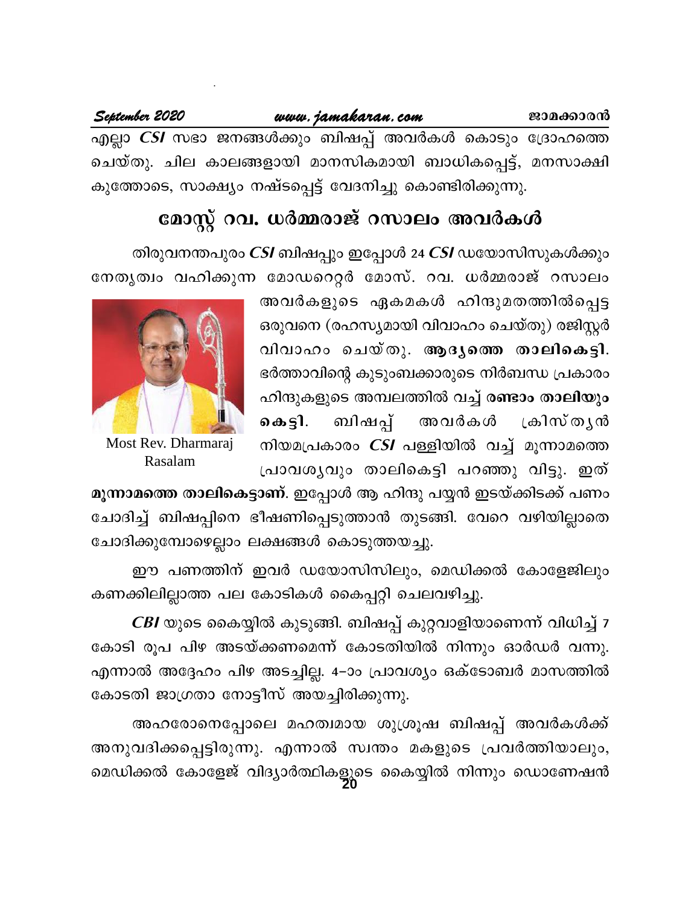## www.jamakaran.com

September 2020

എല്ലാ *CSI* സഭാ ജനങ്ങൾക്കും ബിഷപ്പ് അവർകൾ കൊടും ദ്രോഹത്തെ ചെയ്തു. ചില കാലങ്ങളായി മാനസികമായി ബാധികപ്പെട്ട്, മനസാക്ഷി കുത്തോടെ, സാക്ഷ്യം നഷ്ടപ്പെട്ട് വേദനിച്ചു കൊണ്ടിരിക്കുന്നു.

# മോസ്റ്റ് റവ. ധർമ്മരാജ് റസാലം അവർകൾ

തിരുവനന്തപുരം *CSI* ബിഷപ്പും ഇപ്പോൾ 24 *CSI* ഡയോസിസുകൾക്കും

നേതൃത്വം വഹിക്കുന്ന മോഡറെറ്റർ മോസ്. റവ. ധർമ്മരാജ് റസാലം

അവർകളുടെ ഏകമകൾ ഹിന്ദുമതത്തിൽപ്പെട്ട ഒരുവനെ (രഹസ്യമായി വിവാഹം ചെയ്തു) രജിസ്റ്റർ വിവാഹം ചെയ്തു. ആദൃത്തെ താലികെട്ടി. ഭർത്താവിന്റെ കുടുംബക്കാരുടെ നിർബന്ധ പ്രകാരം ഹിന്ദുകളുടെ അമ്പലത്തിൽ വച്ച് <mark>രണ്ടാം താലിയും</mark> ബിഷപ്പ് അവർകൾ ക്രിസ്തൃൻ கைதி. നിയമപ്രകാരം *CSI* പള്ളിയിൽ വച്ച് മൂന്നാമത്തെ പ്രാവശൃവും താലികെട്ടി പറഞ്ഞു വിട്ടു. ഇത്



Most Rev. Dharmaraj Rasalam

മൂന്നാമത്തെ താലികെട്ടാണ്. ഇപ്പോൾ ആ ഹിന്ദു പയ്യൻ ഇടയ്ക്കിടക്ക് പണം ചോദിച്ച് ബിഷപ്പിനെ ഭീഷണിപ്പെടുത്താൻ തുടങ്ങി. വേറെ വഴിയില്ലാതെ ചോദിക്കുമ്പോഴെല്ലാം ലക്ഷങ്ങൾ കൊടുത്തയച്ചു.

ഈ പണത്തിന് ഇവർ ഡയോസിസിലും, മെഡിക്കൽ കോളേജിലും കണക്കിലില്ലാത്ത പല കോടികൾ കൈപ്പറ്റി ചെലവഴിച്ചു.

*CBI* യുടെ കൈയ്യിൽ കുടുങ്ങി. ബിഷപ്പ് കുറ്റവാളിയാണെന്ന് വിധിച്ച് 7 കോടി രൂപ പിഴ അടയ്ക്കണമെന്ന് കോടതിയിൽ നിന്നും ഓർഡർ വന്നു. എന്നാൽ അദ്ദേഹം പിഴ അടച്ചില്ല. 4–ാം പ്രാവശ്യം ഒക്ടോബർ മാസത്തിൽ കോടതി ജാഗ്രതാ നോട്ടീസ് അയച്ചിരിക്കുന്നു.

അഹരോനെപ്പോലെ മഹത്വമായ ശുശ്രൂഷ ബിഷപ്പ് അവർകൾക്ക് അനുവദിക്കപ്പെട്ടിരുന്നു. എന്നാൽ സ്വന്തം മകളുടെ പ്രവർത്തിയാലും, മെഡിക്കൽ കോളേജ് വിദ്യാർത്ഥികളുടെ കൈയ്യിൽ നിന്നും ഡൊണേഷൻ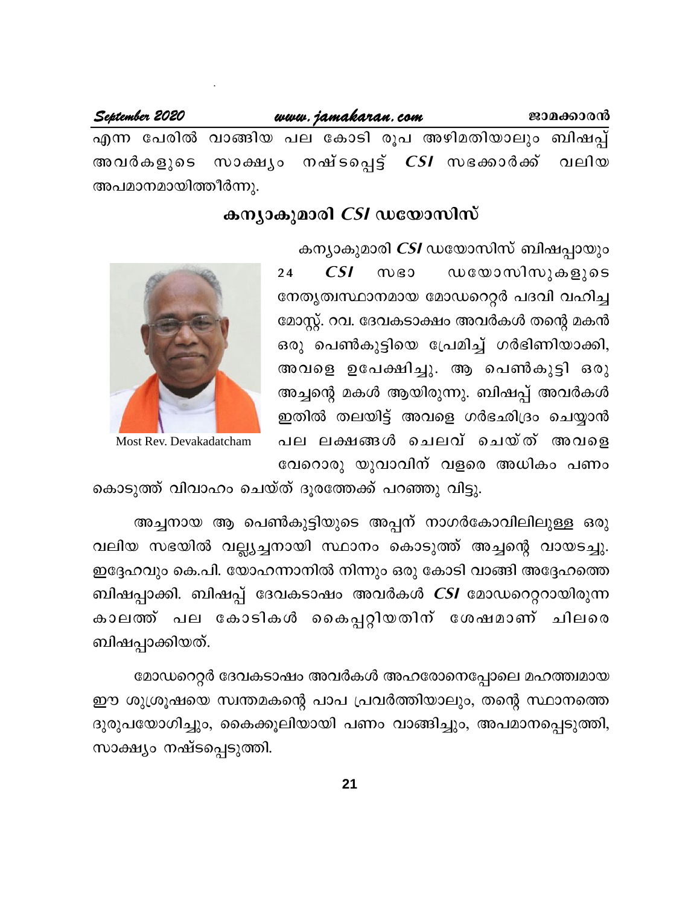September 2020 www.jamakaran.com ജാമക്കാരൻ എന്ന പേരിൽ വാങ്ങിയ പല കോടി രൂപ അഴിമതിയാലും ബിഷപ്പ് ാനഷ്ടപ്പെട്ട് *CSI* സഭക്കാർക്ക് വലിയ അവർകളുടെ സാക്ഷ്യം അപമാനമായിത്തീർന്നു.

## കന്യാകുമാരി *CSI* ഡയോസിസ്

കന്യാകുമാരി *CSI* ഡയോസിസ് ബിഷപ്പായും

ഡയോസിസുകളുടെ  $CSI$  $W$  $B$  $24$ നേതൃത്വസ്ഥാനമായ മോഡറെറ്റർ പദവി വഹിച്ച മോസ്റ്റ്. റവ. ദേവകടാക്ഷം അവർകൾ തന്റെ മകൻ ഒരു പെൺകുട്ടിയെ പ്രേമിച്ച് ഗർഭിണിയാക്കി, അവളെ ഉപേക്ഷിച്ചു. ആ പെൺകുട്ടി ഒരു അച്ചന്റെ മകൾ ആയിരുന്നു. ബിഷപ്പ് അവർകൾ ഇതിൽ തലയിട്ട് അവളെ ഗർഭഛിദ്രം ചെയ്യാൻ പല ലക്ഷങ്ങൾ ചെലവ് ചെയ്ത് അവളെ വേറൊരു യുവാവിന് വളരെ അധികം പണം



Most Rev. Devakadatcham

കൊടുത്ത് വിവാഹം ചെയ്ത് ദൂരത്തേക്ക് പറഞ്ഞു വിട്ടു.

അച്ചനായ ആ പെൺകുട്ടിയുടെ അപ്പന് നാഗർകോവിലിലുള്ള ഒരു വലിയ സഭയിൽ വല്ല്യച്ചനായി സ്ഥാനം കൊടുത്ത് അച്ചന്റെ വായടച്ചു. ഇദ്ദേഹവും കെ.പി. യോഹന്നാനിൽ നിന്നും ഒരു കോടി വാങ്ങി അദ്ദേഹത്തെ ബിഷപ്പാക്കി. ബിഷപ്പ് ദേവകടാഷം അവർകൾ *CSI* മോഡറെറ്ററായിരുന്ന കാലത്ത് പല കോടികൾ കൈപ്പറ്റിയതിന് ശേഷമാണ<mark>്</mark> ചിലരെ ബിഷപ്പാക്കിയത്.

മോഡറെറ്റർ ദേവകടാഷം അവർകൾ അഹരോനെപ്പോലെ മഹത്ത്വമായ ഈ ശുശ്രൂഷയെ സ്വന്തമകന്റെ പാപ പ്രവർത്തിയാലും, തന്റെ സ്ഥാനത്തെ ദുരുപയോഗിച്ചും, കൈക്കൂലിയായി പണം വാങ്ങിച്ചും, അപമാനപ്പെടുത്തി, സാക്ഷ്യം നഷ്ടപ്പെടുത്തി.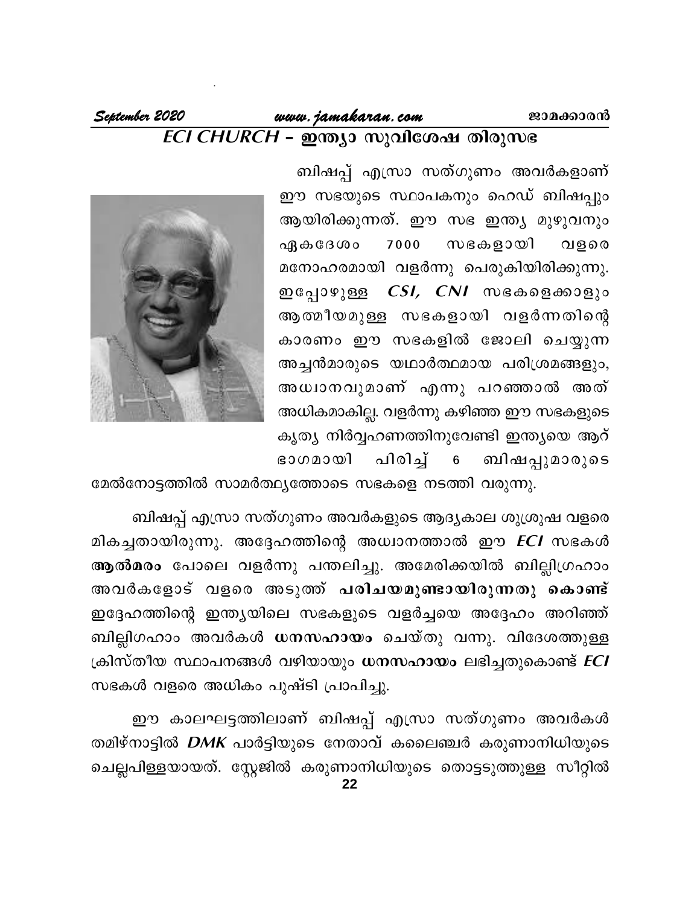#### September 2020 www.jamakaran.com ജാമക്കാരൻ ECI CHURCH - ഇന്ത്യാ സുവിശേഷ തിരുസഭ

ബിഷപ്പ് എസ്രാ സത്ഗുണം അവർകളാണ് ഈ സഭയുടെ സ്ഥാപകനും ഹെഡ് ബിഷപ്പും ആയിരിക്കുന്നത്. ഈ സഭ ഇന്ത്യ മുഴുവനും സഭകളായി ഏകദേശം 7000 വളരെ മനോഹരമായി വളർന്നു പെരുകിയിരിക്കുന്നു. ഇപ്പോഴുള്ള *CSI, CNI* സഭകളെക്കാളും ആത്മീയമുള്ള സഭകളായി വളർന്നതിന്റെ കാരണം ഈ സഭകളിൽ ജോലി ചെയ്യുന്ന അച്ചൻമാരുടെ യഥാർത്ഥമായ പരിശ്രമങ്ങളും, അധ്വാനവുമാണ് എന്നു പറഞ്ഞാൽ അത് അധികമാകില്ല. വളർന്നു കഴിഞ്ഞ ഈ സഭകളുടെ കൃത്യ നിർവ്വഹണത്തിനുവേണ്ടി ഇന്ത്യയെ ആറ് പിരിച്ച് ബിഷപ്പുമാരുടെ ഭാഗമായി  $6\phantom{.}6$ 



മേൽനോട്ടത്തിൽ സാമർത്ഥ്യത്തോടെ സഭകളെ നടത്തി വരുന്നു.

ബിഷപ്പ് എസ്രാ സത്ഗുണം അവർകളുടെ ആദ്യകാല ശുശ്രൂഷ വളരെ മികച്ചതായിരുന്നു. അദ്ദേഹത്തിന്റെ അധ്വാനത്താൽ ഈ *ECI* സഭകൾ ആൽമരം പോലെ വളർന്നു പന്തലിച്ചു. അമേരിക്കയിൽ ബില്ലിഗ്രഹാം അവർകളോട് വളരെ അടുത്ത് <mark>പരിചയമുണ്ടായിരുന്നതു കൊണ്ട്</mark> ഇദ്ദേഹത്തിന്റെ ഇന്ത്യയിലെ സഭകളുടെ വളർച്ചയെ അദ്ദേഹം അറിഞ്ഞ് ബില്ലിഗഹാം അവർകൾ ധനസഹായം ചെയ്തു വന്നു. വിദേശത്തുള്ള ക്രിസ്തീയ സ്ഥാപനങ്ങൾ വഴിയായും <mark>ധനസഹായം</mark> ലഭിച്ചതുകൊണ്ട് *ECI* സഭകൾ വളരെ അധികം പുഷ്ടി പ്രാപിച്ചു.

ഈ കാലഘട്ടത്തിലാണ് ബിഷപ്പ് എസ്രാ സത്ഗുണം അവർകൾ തമിഴ്നാട്ടിൽ *DMK* പാർട്ടിയുടെ നേതാവ് കലൈഞ്ചർ കരുണാനിധിയുടെ ചെല്ലപിള്ളയായത്. സ്റ്റേജിൽ കരുണാനിധിയുടെ തൊട്ടടുത്തുള്ള സീറ്റിൽ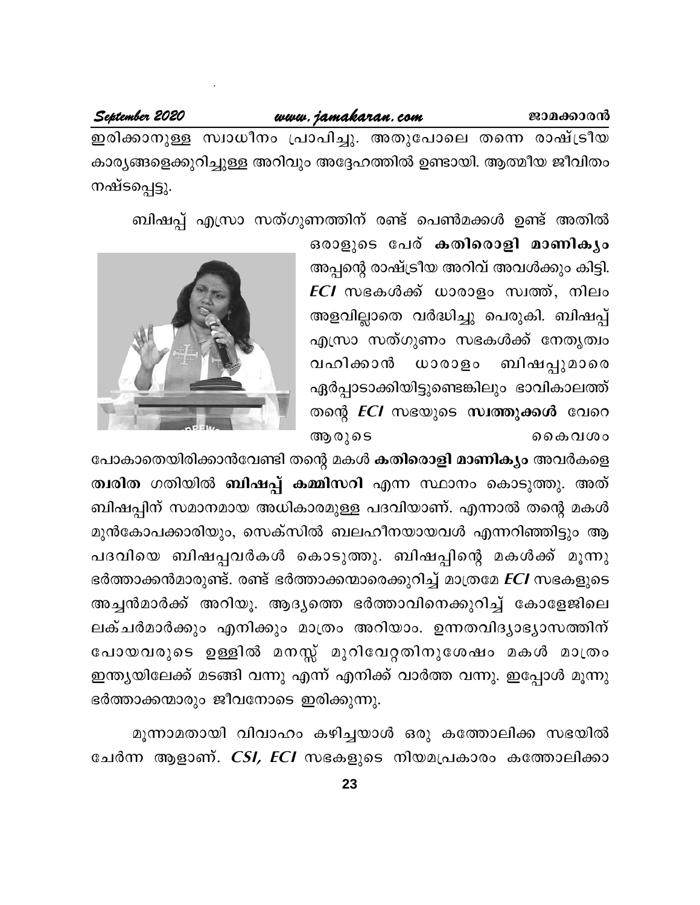#### www.jamakaran.com

#### September 2020

ഇരിക്കാനുള്ള സ്വാധീനം പ്രാപിച്ചു. അതുപോലെ തന്നെ രാഷ്ട്രീയ കാര്യങ്ങളെക്കുറിച്ചുള്ള അറിവും അദ്ദേഹത്തിൽ ഉണ്ടായി. ആത്മീയ ജീവിതം നഷ്ടപ്പെട്ടു.

ബിഷപ്പ് എസ്രാ സത്ഗുണത്തിന് രണ്ട് പെൺമക്കൾ ഉണ്ട് അതിൽ

ഒരാളുടെ പേര് കതിരൊളി മാണികൃം അപ്പന്റെ രാഷ്ട്രീയ അറിവ് അവൾക്കും കിട്ടി. *ECI* സഭകൾക്ക് ധാരാളം സ്വത്ത്, നിലം അളവില്ലാതെ വർദ്ധിച്ചു പെരുകി. ബിഷപ്പ് എസ്രാ സത്ഗുണം സഭകൾക്ക് നേതൃത്വം ബിഷപ്പുമാരെ വഹിക്കാൻ ധാരാളം ഏർപ്പാടാക്കിയിട്ടുണ്ടെങ്കിലും ഭാവികാലത്ത് തന്റെ *ECI* സഭയുടെ സ്വത്തുക്കൾ വേറെ ആരുടെ ൭ൈകവശം



പോകാതെയിരിക്കാൻവേണ്ടി തന്റെ മകൾ കതിരൊളി മാണിക്യം അവർകളെ ത്വരിത ഗതിയിൽ ബിഷപ്പ് കമ്മിസറി എന്ന സ്ഥാനം കൊടുത്തു. അത് ബിഷപ്പിന് സമാനമായ അധികാരമുള്ള പദവിയാണ്. എന്നാൽ തന്റെ മകൾ മുൻകോപക്കാരിയും, സെക്സിൽ ബലഹീനയായവൾ എന്നറിഞ്ഞിട്ടും ആ പദവിയെ ബിഷപ്പവർകൾ കൊടുത്തു. ബിഷപ്പിന്റെ മകൾക്ക് മൂന്നു ഭർത്താക്കൻമാരുണ്ട്. രണ്ട് ഭർത്താക്കന്മാരെക്കുറിച്ച് മാത്രമേ *ECI* സഭകളുടെ അച്ചൻമാർക്ക് അറിയൂ. ആദ്യത്തെ ഭർത്താവിനെക്കുറിച്ച് കോളേജിലെ ലക്ചർമാർക്കും എനിക്കും മാത്രം അറിയാം. ഉന്നതവിദൃാഭൃാസത്തിന് പോയവരുടെ ഉള്ളിൽ മനസ്സ് മുറിവേറ്റതിനുശേഷം മകൾ മാത്രം ഇന്ത്യയിലേക്ക് മടങ്ങി വന്നു എന്ന് എനിക്ക് വാർത്ത വന്നു. ഇപ്പോൾ മൂന്നു ഭർത്താക്കന്മാരും ജീവനോടെ ഇരിക്കുന്നു.

മൂന്നാമതായി വിവാഹം കഴിച്ചയാൾ ഒരു കത്തോലിക്ക സഭയിൽ ചേർന്ന ആളാണ്. *CSI, ECI* സഭകളുടെ നിയമപ്രകാരം കത്തോലിക്കാ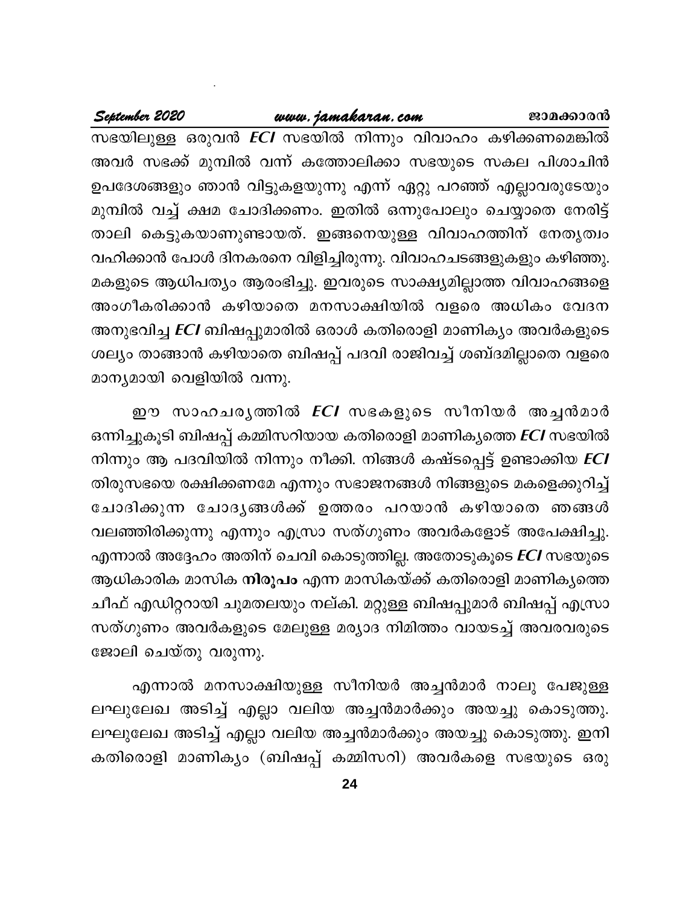## www.jamakaran.com

#### September 2020

സഭയിലുള്ള ഒരുവൻ *ECI* സഭയിൽ നിന്നും വിവാഹം കഴിക്കണമെങ്കിൽ അവർ സഭക്ക് മുമ്പിൽ വന്ന് കത്തോലിക്കാ സഭയുടെ സകല പിശാചിൻ ഉപദേശങ്ങളും ഞാൻ വിട്ടുകളയുന്നു എന്ന് ഏറ്റു പറഞ്ഞ് എല്ലാവരുടേയും മുമ്പിൽ വച്ച് ക്ഷമ ചോദിക്കണം. ഇതിൽ ഒന്നുപോലും ചെയ്യാതെ നേരിട്ട് താലി കെട്ടുകയാണുണ്ടായത്. ഇങ്ങനെയുള്ള വിവാഹത്തിന് നേതൃത്വം വഹിക്കാൻ പോൾ ദിനകരനെ വിളിച്ചിരുന്നു. വിവാഹചടങ്ങളുകളും കഴിഞ്ഞു. മകളുടെ ആധിപത്യം ആരംഭിച്ചു. ഇവരുടെ സാക്ഷ്യമില്ലാത്ത വിവാഹങ്ങളെ അംഗീകരിക്കാൻ കഴിയാതെ മനസാക്ഷിയിൽ വളരെ അധികം വേദന അനുഭവിച്ച *ECI* ബിഷപ്പുമാരിൽ ഒരാൾ കതിരൊളി മാണിക്യം അവർകളുടെ ശല്യം താങ്ങാൻ കഴിയാതെ ബിഷപ്പ് പദവി രാജിവച്ച് ശബ്ദമില്ലാതെ വളരെ മാന്യമായി വെളിയിൽ വന്നു.

ഈ സാഹചരൃത്തിൽ *ECI* സഭകളുടെ സീനിയർ അച്ചൻമാർ ഒന്നിച്ചുകൂടി ബിഷപ്പ് കമ്മിസറിയായ കതിരൊളി മാണികൃത്തെ ECI സഭയിൽ നിന്നും ആ പദവിയിൽ നിന്നും നീക്കി. നിങ്ങൾ കഷ്ടപ്പെട്ട് ഉണ്ടാക്കിയ *ECI* തിരുസഭയെ രക്ഷിക്കണമേ എന്നും സഭാജനങ്ങൾ നിങ്ങളുടെ മകളെക്കുറിച്ച് ചോദിക്കുന്ന ചോദൃങ്ങൾക്ക് ഉത്തരം പറയാൻ കഴിയാതെ ഞങ്ങൾ വലഞ്ഞിരിക്കുന്നു എന്നും എസ്രാ സത്ഗുണം അവർകളോട് അപേക്ഷിച്ചു. എന്നാൽ അദ്ദേഹം അതിന് ചെവി കൊടുത്തില്ല. അതോടുകൂടെ *ECI* സഭയുടെ ആധികാരിക മാസിക **നിരൂപം** എന്ന മാസികയ്ക്ക് കതിരൊളി മാണികൃത്തെ ചീഫ് എഡിറ്ററായി ചുമതലയും നല്കി. മറ്റുള്ള ബിഷപ്പുമാർ ബിഷപ്പ് എസ്രാ സത്ഗുണം അവർകളുടെ മേലുള്ള മര്യാദ നിമിത്തം വായടച്ച് അവരവരുടെ ജോലി ചെയ്തു വരുന്നു.

എന്നാൽ മനസാക്ഷിയുള്ള സീനിയർ അച്ചൻമാർ നാലു പേജുള്ള ലഘുലേഖ അടിച്ച് എല്ലാ വലിയ അച്ചൻമാർക്കും അയച്ചു കൊടുത്തു. ലഘുലേഖ അടിച്ച് എല്ലാ വലിയ അച്ചൻമാർക്കും അയച്ചു കൊടുത്തു. ഇനി കതിരൊളി മാണികൃം (ബിഷപ്പ് കമ്മിസറി) അവർകളെ സഭയുടെ ഒരു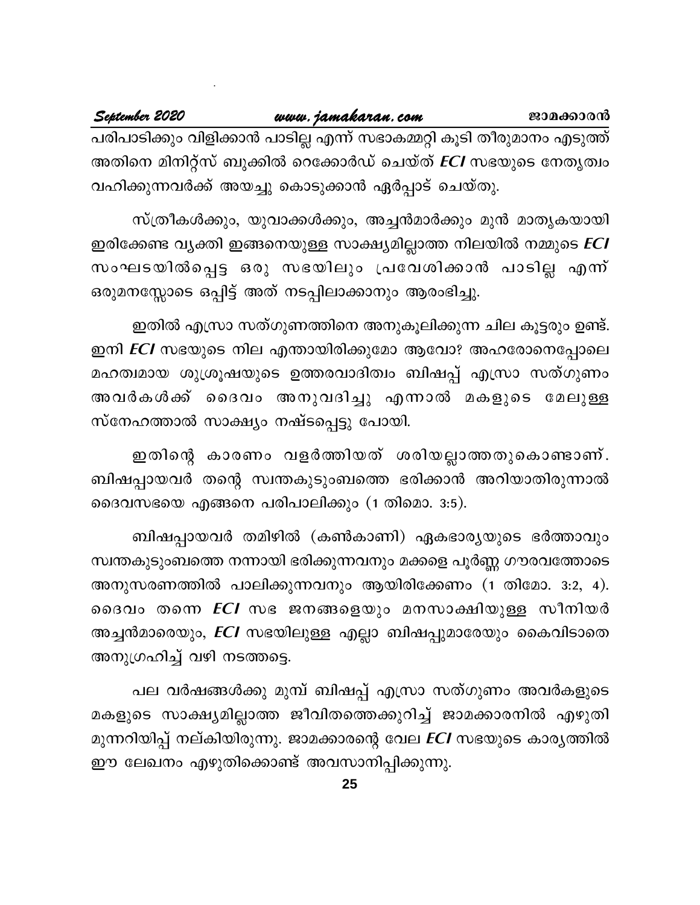പരിപാടിക്കും വിളിക്കാൻ പാടില്ല എന്ന് സഭാകമ്മറ്റി കൂടി തീരുമാനം എടുത്ത് അതിനെ മിനിറ്റ്സ് ബുക്കിൽ റെക്കോർഡ് ചെയ്ത് *ECI* സഭയുടെ നേതൃത്വം വഹിക്കുന്നവർക്ക് അയച്ചു കൊടുക്കാൻ ഏർപ്പാട് ചെയ്തു.

സ്ത്രീകൾക്കും, യുവാക്കൾക്കും, അച്ചൻമാർക്കും മുൻ മാതൃകയായി ഇരിക്കേണ്ട വ്യക്തി ഇങ്ങനെയുള്ള സാക്ഷ്യമില്ലാത്ത നിലയിൽ നമ്മുടെ *ECI* സംഘടയിൽപ്പെട്ട ഒരു സഭയിലും പ്രവേശിക്കാൻ പാടില്ല എന്ന് ഒരുമനസ്സോടെ ഒപ്പിട്ട് അത് നടപ്പിലാക്കാനും ആരംഭിച്ചു.

ഇതിൽ എസ്രാ സത്ഗുണത്തിനെ അനുകൂലിക്കുന്ന ചില കൂട്ടരും ഉണ്ട്. ഇനി *ECI* സഭയുടെ നില എന്തായിരിക്കുമോ ആവോ? അഹരോനെപ്പോലെ മഹത്വമായ ശുശ്രൂഷയുടെ ഉത്തരവാദിത്വം ബിഷപ്പ് എസ്രാ സത്ഗുണം അവർകൾക്ക് ദൈവം അനുവദിച്ചു എന്നാൽ മകളുടെ മേലുള്ള സ്നേഹത്താൽ സാക്ഷ്യം നഷ്ടപ്പെട്ടു പോയി.

ഇതിന്റെ കാരണം വളർത്തിയത് ശരിയല്ലാത്തതുകൊണ്ടാണ്. ബിഷപ്പായവർ തന്റെ സ്വന്തകുടുംബത്തെ ഭരിക്കാൻ അറിയാതിരുന്നാൽ ദൈവസഭയെ എങ്ങനെ പരിപാലിക്കും (1 തിമൊ. 3:5).

ബിഷപ്പായവർ തമിഴിൽ (കൺകാണി) ഏകഭാര്യയുടെ ഭർത്താവും സ്വന്തകുടുംബത്തെ നന്നായി ഭരിക്കുന്നവനും മക്കളെ പൂർണ്ണ ഗൗരവത്തോടെ അനുസരണത്തിൽ പാലിക്കുന്നവനും ആയിരിക്കേണം (1 തിമോ. 3:2, 4). ദൈവം തന്നെ *ECI* സഭ ജനങ്ങളെയും മനസാക്ഷിയുള്ള സീനിയർ അച്ചൻമാരെയും, *ECI* സഭയിലുള്ള എല്ലാ ബിഷപ്പുമാരേയും കൈവിടാതെ അനുഗ്രഹിച്ച് വഴി നടത്തട്ടെ.

പല വർഷങ്ങൾക്കു മുമ്പ് ബിഷപ്പ് എസ്രാ സത്ഗുണം അവർകളുടെ മകളുടെ സാക്ഷ്യമില്ലാത്ത ജീവിതത്തെക്കുറിച്ച് ജാമക്കാരനിൽ എഴുതി മുന്നറിയിപ്പ് നല്കിയിരുന്നു. ജാമക്കാരന്റെ വേല *ECI* സഭയുടെ കാര്യത്തിൽ ഈ ലേഖനം എഴുതിക്കൊണ്ട് അവസാനിപ്പിക്കുന്നു.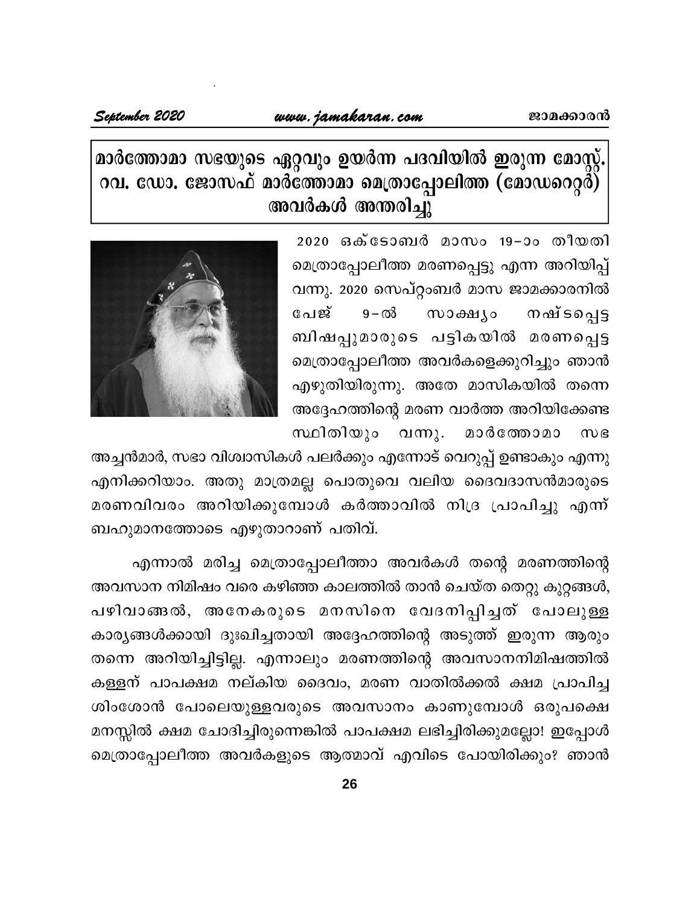# മാർത്തോമാ സഭയുടെ ഏറ്റവും ഉയർന്ന പദവിയിൽ ഇരുന്ന മോസ്റ്റ്. റവ. ഡോ. ജോസഫ് മാർത്തോമാ മെത്രാപ്പോലിത്ത (മോഡറെറ്റർ) അവർകൾ അന്തരിച്ചു

2020 ഒക്ടോബർ മാസം 19-ാം തീയതി മെത്രാപ്പോലീത്ത മരണപ്പെട്ടു എന്ന അറിയിപ്പ് വന്നു. 2020 സെപ്റ്റംബർ മാസ ജാമക്കാരനിൽ പേജ്  $9 - \varpi$ സാക്ഷ്യം ാഷ് ട**പ്പെ**ട്ട ബിഷപ്പുമാരുടെ പട്ടികയിൽ മരണപ്പെട്ട മെത്രാപ്പോലീത്ത അവർകളെക്കുറിച്ചും ഞാൻ എഴുതിയിരുന്നു. അതേ മാസികയിൽ തന്നെ അദ്ദേഹത്തിന്റെ മരണ വാർത്ത അറിയിക്കേണ്ട വന്നു. മാർത്തോമാ സ്ഥിതിയും  $m$ 



അച്ചൻമാർ, സഭാ വിശ്വാസികൾ പലർക്കും എന്നോട് വെറുപ്പ് ഉണ്ടാകും എന്നു എനിക്കറിയാം. അതു മാത്രമല്ല പൊതുവെ വലിയ ദൈവദാസൻമാരുടെ മരണവിവരം അറിയിക്കുമ്പോൾ കർത്താവിൽ നിദ്ര പ്രാപിച്ചു എന്ന് ബഹുമാനത്തോടെ എഴുതാറാണ് പതിവ്.

എന്നാൽ മരിച്ച മെത്രാപ്പോലീത്താ അവർകൾ തന്റെ മരണത്തിന്റെ അവസാന നിമിഷം വരെ കഴിഞ്ഞ കാലത്തിൽ താൻ ചെയ്ത തെറ്റു കുറ്റങ്ങൾ, പഴിവാങ്ങൽ, അനേകരുടെ മനസിനെ വേദനിപ്പിച്ചത് പോലുള്ള കാര്യങ്ങൾക്കായി ദുഃഖിച്ചതായി അദ്ദേഹത്തിന്റെ അടുത്ത് ഇരുന്ന ആരും തന്നെ അറിയിച്ചിട്ടില്ല. എന്നാലും മരണത്തിന്റെ അവസാനനിമിഷത്തിൽ കള്ളന് പാപക്ഷമ നല്കിയ ദൈവം, മരണ വാതിൽക്കൽ ക്ഷമ പ്രാപിച്ച ശിംശോൻ പോലെയുള്ളവരുടെ അവസാനം കാണുമ്പോൾ ഒരുപക്ഷെ മനസ്സിൽ ക്ഷമ ചോദിച്ചിരുന്നെങ്കിൽ പാപക്ഷമ ലഭിച്ചിരിക്കുമല്ലോ! ഇപ്പോൾ മെത്രാപ്പോലീത്ത അവർകളുടെ ആത്മാവ് എവിടെ പോയിരിക്കും? ഞാൻ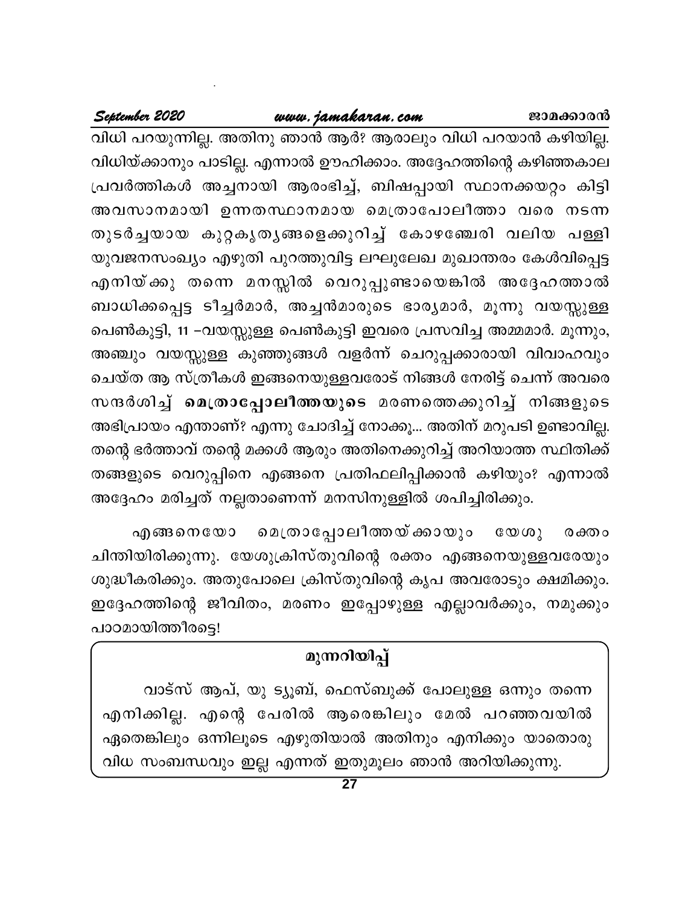## www.jamakaran.com

## September 2020

വിധി പറയുന്നില്ല. അതിനു ഞാൻ ആർ? ആരാലും വിധി പറയാൻ കഴിയില്ല. വിധിയ്ക്കാനും പാടില്ല. എന്നാൽ ഊഹിക്കാം. അദ്ദേഹത്തിന്റെ കഴിഞ്ഞകാല പ്രവർത്തികൾ അച്ചനായി ആരംഭിച്ച്, ബിഷപ്പായി സ്ഥാനക്കയറ്റം കിട്ടി അവസാനമായി ഉന്നതസ്ഥാനമായ മെത്രാപോലീത്താ വരെ നടന്ന തുടർച്ചയായ കുറ്റകൃതൃങ്ങളെക്കുറിച്ച് കോഴഞ്ചേരി വലിയ പള്ളി യുവജനസംഖ്യം എഴുതി പുറത്തുവിട്ട ലഘുലേഖ മുഖാന്തരം കേൾവിപ്പെട്ട എനിയ്ക്കു തന്നെ മനസ്സിൽ വെറുപ്പുണ്ടായെങ്കിൽ അദ്ദേഹത്താൽ ബാധിക്കപ്പെട്ട ടീച്ചർമാർ, അച്ചൻമാരുടെ ഭാര്യമാർ, മൂന്നു വയസ്സുള്ള പെൺകുട്ടി, 11 –വയസ്സുള്ള പെൺകുട്ടി ഇവരെ പ്രസവിച്ച അമ്മമാർ. മൂന്നും, അഞ്ചും വയസ്സുള്ള കുഞ്ഞുങ്ങൾ വളർന്ന് ചെറുപ്പക്കാരായി വിവാഹവും ചെയ്ത ആ സ്ത്രീകൾ ഇങ്ങനെയുള്ളവരോട് നിങ്ങൾ നേരിട്ട് ചെന്ന് അവരെ സന്ദർശിച്ച് മെത്രാപ്പോലീത്തയുടെ മരണത്തെക്കുറിച്ച് നിങ്ങളുടെ അഭിപ്രായം എന്താണ്? എന്നു ചോദിച്ച് നോക്കൂ... അതിന് മറുപടി ഉണ്ടാവില്ല. തന്റെ ഭർത്താവ് തന്റെ മക്കൾ ആരും അതിനെക്കുറിച്ച് അറിയാത്ത സ്ഥിതിക്ക് തങ്ങളുടെ വെറുപ്പിനെ എങ്ങനെ പ്രതിഫലിപ്പിക്കാൻ കഴിയും? എന്നാൽ അദ്ദേഹം മരിച്ചത് നല്ലതാണെന്ന് മനസിനുള്ളിൽ ശപിച്ചിരിക്കും.

മെത്രാപ്പോലീത്തയ് ക്കായും എങ്ങനെയോ  $\mathbb{G}\mathbb{O}\mathbb{O}(\mathbb{O})$ രക്തം ചിന്തിയിരിക്കുന്നു. യേശുക്രിസ്തുവിന്റെ രക്തം എങ്ങനെയുള്ളവരേയും ശുദ്ധീകരിക്കും. അതുപോലെ ക്രിസ്തുവിന്റെ കൃപ അവരോടും ക്ഷമിക്കും. ഇദ്ദേഹത്തിന്റെ ജീവിതം, മരണം ഇപ്പോഴുള്ള എല്ലാവർക്കും, നമുക്കും പാഠമായിത്തീരട്ടെ!

# മുന്നറിയിപ്പ്

വാട്സ് ആപ്, യു ട്യൂബ്, ഫെസ്ബുക്ക് പോലുള്ള ഒന്നും തന്നെ എനിക്കില്ല. എന്റെ പേരിൽ ആരെങ്കിലും മേൽ പറഞ്ഞവയിൽ ഏതെങ്കിലും ഒന്നിലൂടെ എഴുതിയാൽ അതിനും എനിക്കും യാതൊരു വിധ സംബന്ധവും ഇല്ല എന്നത് ഇതുമൂലം ഞാൻ അറിയിക്കുന്നു.